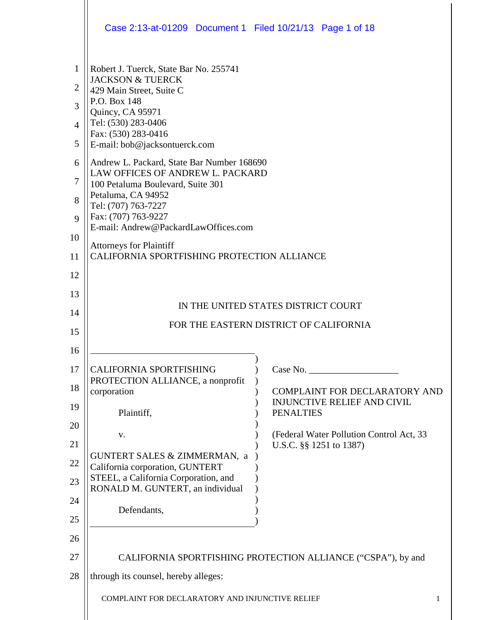|                                                                           | Case 2:13-at-01209 Document 1 Filed 10/21/13 Page 1 of 18                                                                                                                                                                                                                                                                                                                                                                                                                                 |
|---------------------------------------------------------------------------|-------------------------------------------------------------------------------------------------------------------------------------------------------------------------------------------------------------------------------------------------------------------------------------------------------------------------------------------------------------------------------------------------------------------------------------------------------------------------------------------|
| 1<br>$\overline{2}$<br>3<br>$\overline{4}$<br>5<br>6<br>7<br>8<br>9<br>10 | Robert J. Tuerck, State Bar No. 255741<br><b>JACKSON &amp; TUERCK</b><br>429 Main Street, Suite C<br>P.O. Box 148<br>Quincy, CA 95971<br>Tel: (530) 283-0406<br>Fax: (530) 283-0416<br>E-mail: bob@jacksontuerck.com<br>Andrew L. Packard, State Bar Number 168690<br>LAW OFFICES OF ANDREW L. PACKARD<br>100 Petaluma Boulevard, Suite 301<br>Petaluma, CA 94952<br>Tel: (707) 763-7227<br>Fax: (707) 763-9227<br>E-mail: Andrew@PackardLawOffices.com<br><b>Attorneys for Plaintiff</b> |
| 11<br>12<br>13<br>14<br>15                                                | CALIFORNIA SPORTFISHING PROTECTION ALLIANCE<br>IN THE UNITED STATES DISTRICT COURT<br>FOR THE EASTERN DISTRICT OF CALIFORNIA                                                                                                                                                                                                                                                                                                                                                              |
| 16<br>17<br>18<br>19<br>20<br>21<br>22<br>23<br>24<br>25<br>26            | CALIFORNIA SPORTFISHING<br>Case No.<br>PROTECTION ALLIANCE, a nonprofit<br>corporation<br><b>COMPLAINT FOR DECLARATORY AND</b><br><b>INJUNCTIVE RELIEF AND CIVIL</b><br>Plaintiff,<br><b>PENALTIES</b><br>(Federal Water Pollution Control Act, 33<br>V.<br>U.S.C. §§ 1251 to 1387)<br>GUNTERT SALES & ZIMMERMAN, a<br>California corporation, GUNTERT<br>STEEL, a California Corporation, and<br>RONALD M. GUNTERT, an individual<br>Defendants,                                         |
| 27<br>28                                                                  | CALIFORNIA SPORTFISHING PROTECTION ALLIANCE ("CSPA"), by and<br>through its counsel, hereby alleges:<br>COMPLAINT FOR DECLARATORY AND INJUNCTIVE RELIEF<br>1                                                                                                                                                                                                                                                                                                                              |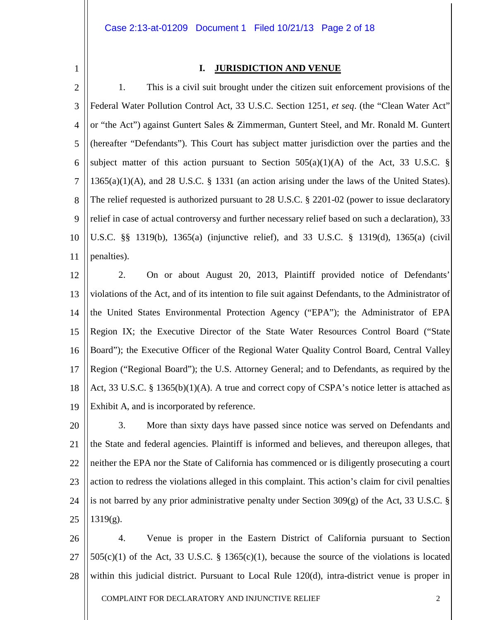1

#### **I. JURISDICTION AND VENUE**

2 3 4 5 6 7 8 9 10 11 1. This is a civil suit brought under the citizen suit enforcement provisions of the Federal Water Pollution Control Act, 33 U.S.C. Section 1251, *et seq*. (the "Clean Water Act" or "the Act") against Guntert Sales & Zimmerman, Guntert Steel, and Mr. Ronald M. Guntert (hereafter "Defendants"). This Court has subject matter jurisdiction over the parties and the subject matter of this action pursuant to Section  $505(a)(1)(A)$  of the Act, 33 U.S.C. §  $1365(a)(1)(A)$ , and 28 U.S.C. § 1331 (an action arising under the laws of the United States). The relief requested is authorized pursuant to 28 U.S.C. § 2201-02 (power to issue declaratory relief in case of actual controversy and further necessary relief based on such a declaration), 33 U.S.C. §§ 1319(b), 1365(a) (injunctive relief), and 33 U.S.C. § 1319(d), 1365(a) (civil penalties).

12 13 14 15 16 17 18 19 2. On or about August 20, 2013, Plaintiff provided notice of Defendants' violations of the Act, and of its intention to file suit against Defendants, to the Administrator of the United States Environmental Protection Agency ("EPA"); the Administrator of EPA Region IX; the Executive Director of the State Water Resources Control Board ("State Board"); the Executive Officer of the Regional Water Quality Control Board, Central Valley Region ("Regional Board"); the U.S. Attorney General; and to Defendants, as required by the Act, 33 U.S.C. § 1365(b)(1)(A). A true and correct copy of CSPA's notice letter is attached as Exhibit A, and is incorporated by reference.

20 21 22 23 24 25 3. More than sixty days have passed since notice was served on Defendants and the State and federal agencies. Plaintiff is informed and believes, and thereupon alleges, that neither the EPA nor the State of California has commenced or is diligently prosecuting a court action to redress the violations alleged in this complaint. This action's claim for civil penalties is not barred by any prior administrative penalty under Section 309(g) of the Act, 33 U.S.C. § 1319(g).

26 27 28 4. Venue is proper in the Eastern District of California pursuant to Section  $505(c)(1)$  of the Act, 33 U.S.C. § 1365(c)(1), because the source of the violations is located within this judicial district. Pursuant to Local Rule 120(d), intra-district venue is proper in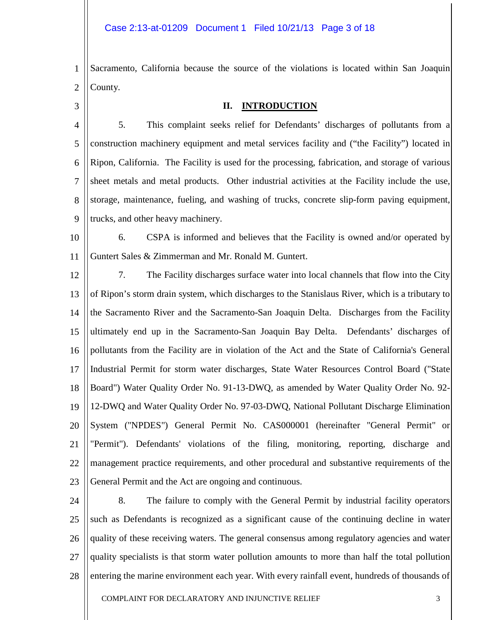1 2 Sacramento, California because the source of the violations is located within San Joaquin County.

3

#### **II. INTRODUCTION**

4 5 6 7 8 9 5. This complaint seeks relief for Defendants' discharges of pollutants from a construction machinery equipment and metal services facility and ("the Facility") located in Ripon, California. The Facility is used for the processing, fabrication, and storage of various sheet metals and metal products. Other industrial activities at the Facility include the use, storage, maintenance, fueling, and washing of trucks, concrete slip-form paving equipment, trucks, and other heavy machinery.

10 11 6. CSPA is informed and believes that the Facility is owned and/or operated by Guntert Sales & Zimmerman and Mr. Ronald M. Guntert.

12 13 14 15 16 17 18 19 20 21 22 23 7. The Facility discharges surface water into local channels that flow into the City of Ripon's storm drain system, which discharges to the Stanislaus River, which is a tributary to the Sacramento River and the Sacramento-San Joaquin Delta. Discharges from the Facility ultimately end up in the Sacramento-San Joaquin Bay Delta. Defendants' discharges of pollutants from the Facility are in violation of the Act and the State of California's General Industrial Permit for storm water discharges, State Water Resources Control Board ("State Board") Water Quality Order No. 91-13-DWQ, as amended by Water Quality Order No. 92- 12-DWQ and Water Quality Order No. 97-03-DWQ, National Pollutant Discharge Elimination System ("NPDES") General Permit No. CAS000001 (hereinafter "General Permit" or "Permit"). Defendants' violations of the filing, monitoring, reporting, discharge and management practice requirements, and other procedural and substantive requirements of the General Permit and the Act are ongoing and continuous.

24 25 26 27 28 8. The failure to comply with the General Permit by industrial facility operators such as Defendants is recognized as a significant cause of the continuing decline in water quality of these receiving waters. The general consensus among regulatory agencies and water quality specialists is that storm water pollution amounts to more than half the total pollution entering the marine environment each year. With every rainfall event, hundreds of thousands of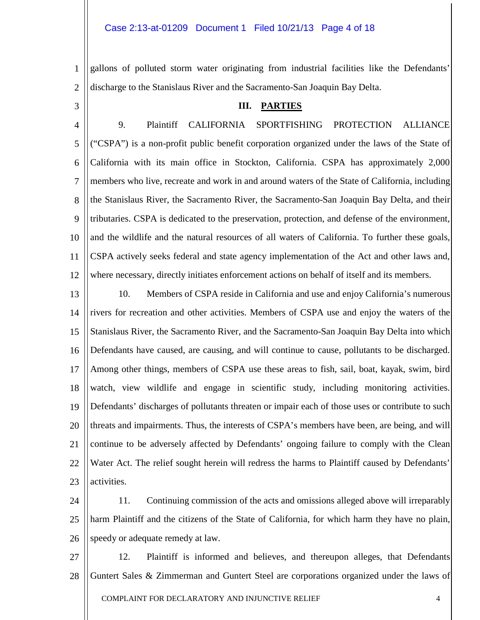gallons of polluted storm water originating from industrial facilities like the Defendants' discharge to the Stanislaus River and the Sacramento-San Joaquin Bay Delta.

3

1

2

#### **III. PARTIES**

4 5 6 7 8 9 10 11 12 9. Plaintiff CALIFORNIA SPORTFISHING PROTECTION ALLIANCE ("CSPA") is a non-profit public benefit corporation organized under the laws of the State of California with its main office in Stockton, California. CSPA has approximately 2,000 members who live, recreate and work in and around waters of the State of California, including the Stanislaus River, the Sacramento River, the Sacramento-San Joaquin Bay Delta, and their tributaries. CSPA is dedicated to the preservation, protection, and defense of the environment, and the wildlife and the natural resources of all waters of California. To further these goals, CSPA actively seeks federal and state agency implementation of the Act and other laws and, where necessary, directly initiates enforcement actions on behalf of itself and its members.

13 14 15 16 17 18 19 20 21 22 23 10. Members of CSPA reside in California and use and enjoy California's numerous rivers for recreation and other activities. Members of CSPA use and enjoy the waters of the Stanislaus River, the Sacramento River, and the Sacramento-San Joaquin Bay Delta into which Defendants have caused, are causing, and will continue to cause, pollutants to be discharged. Among other things, members of CSPA use these areas to fish, sail, boat, kayak, swim, bird watch, view wildlife and engage in scientific study, including monitoring activities. Defendants' discharges of pollutants threaten or impair each of those uses or contribute to such threats and impairments. Thus, the interests of CSPA's members have been, are being, and will continue to be adversely affected by Defendants' ongoing failure to comply with the Clean Water Act. The relief sought herein will redress the harms to Plaintiff caused by Defendants' activities.

24 25 26 11. Continuing commission of the acts and omissions alleged above will irreparably harm Plaintiff and the citizens of the State of California, for which harm they have no plain, speedy or adequate remedy at law.

27 28 12. Plaintiff is informed and believes, and thereupon alleges, that Defendants Guntert Sales & Zimmerman and Guntert Steel are corporations organized under the laws of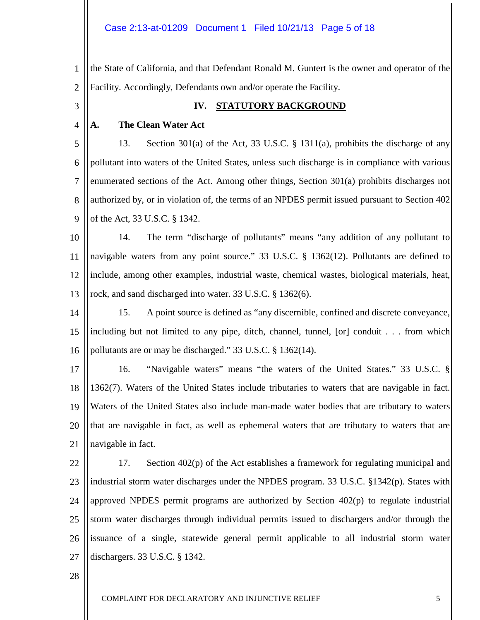1 2 the State of California, and that Defendant Ronald M. Guntert is the owner and operator of the Facility. Accordingly, Defendants own and/or operate the Facility.

3

#### **IV. STATUTORY BACKGROUND**

4 **A. The Clean Water Act**

5 6 7 8 9 13. Section 301(a) of the Act, 33 U.S.C. § 1311(a), prohibits the discharge of any pollutant into waters of the United States, unless such discharge is in compliance with various enumerated sections of the Act. Among other things, Section 301(a) prohibits discharges not authorized by, or in violation of, the terms of an NPDES permit issued pursuant to Section 402 of the Act, 33 U.S.C. § 1342.

10 11 12 13 14. The term "discharge of pollutants" means "any addition of any pollutant to navigable waters from any point source." 33 U.S.C. § 1362(12). Pollutants are defined to include, among other examples, industrial waste, chemical wastes, biological materials, heat, rock, and sand discharged into water. 33 U.S.C. § 1362(6).

14 15 16 15. A point source is defined as "any discernible, confined and discrete conveyance, including but not limited to any pipe, ditch, channel, tunnel, [or] conduit . . . from which pollutants are or may be discharged." 33 U.S.C. § 1362(14).

17 18 19 20 21 16. "Navigable waters" means "the waters of the United States." 33 U.S.C. § 1362(7). Waters of the United States include tributaries to waters that are navigable in fact. Waters of the United States also include man-made water bodies that are tributary to waters that are navigable in fact, as well as ephemeral waters that are tributary to waters that are navigable in fact.

22 23 24 25 26 27 17. Section 402(p) of the Act establishes a framework for regulating municipal and industrial storm water discharges under the NPDES program. 33 U.S.C. §1342(p). States with approved NPDES permit programs are authorized by Section 402(p) to regulate industrial storm water discharges through individual permits issued to dischargers and/or through the issuance of a single, statewide general permit applicable to all industrial storm water dischargers. 33 U.S.C. § 1342.

28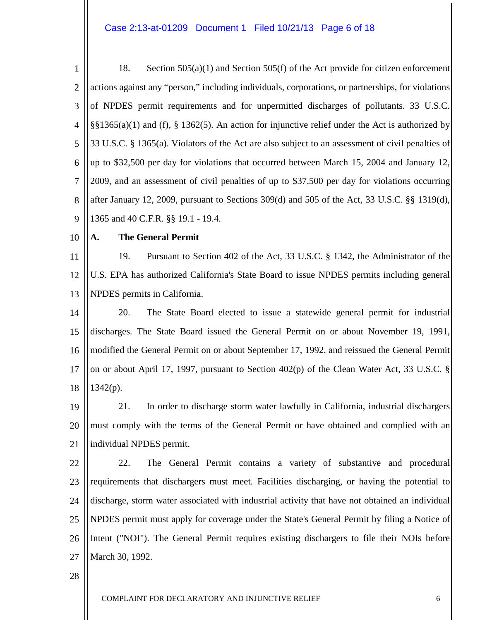1 2 3 4 5 6 7 8 9 18. Section 505(a)(1) and Section 505(f) of the Act provide for citizen enforcement actions against any "person," including individuals, corporations, or partnerships, for violations of NPDES permit requirements and for unpermitted discharges of pollutants. 33 U.S.C. §§1365(a)(1) and (f), § 1362(5). An action for injunctive relief under the Act is authorized by 33 U.S.C. § 1365(a). Violators of the Act are also subject to an assessment of civil penalties of up to \$32,500 per day for violations that occurred between March 15, 2004 and January 12, 2009, and an assessment of civil penalties of up to \$37,500 per day for violations occurring after January 12, 2009, pursuant to Sections 309(d) and 505 of the Act, 33 U.S.C. §§ 1319(d), 1365 and 40 C.F.R. §§ 19.1 - 19.4.

10

#### **A. The General Permit**

11 12 13 19. Pursuant to Section 402 of the Act, 33 U.S.C. § 1342, the Administrator of the U.S. EPA has authorized California's State Board to issue NPDES permits including general NPDES permits in California.

14 15 16 17 18 20. The State Board elected to issue a statewide general permit for industrial discharges. The State Board issued the General Permit on or about November 19, 1991, modified the General Permit on or about September 17, 1992, and reissued the General Permit on or about April 17, 1997, pursuant to Section 402(p) of the Clean Water Act, 33 U.S.C. §  $1342(p)$ .

19 20 21 21. In order to discharge storm water lawfully in California, industrial dischargers must comply with the terms of the General Permit or have obtained and complied with an individual NPDES permit.

22 23 24 25 26 27 22. The General Permit contains a variety of substantive and procedural requirements that dischargers must meet. Facilities discharging, or having the potential to discharge, storm water associated with industrial activity that have not obtained an individual NPDES permit must apply for coverage under the State's General Permit by filing a Notice of Intent ("NOI"). The General Permit requires existing dischargers to file their NOIs before March 30, 1992.

28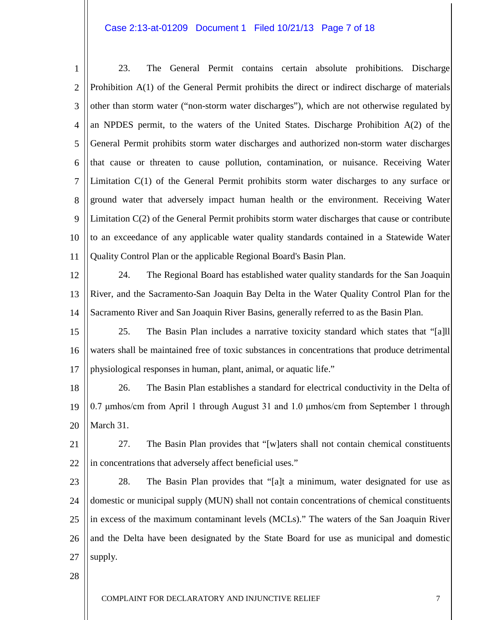#### Case 2:13-at-01209 Document 1 Filed 10/21/13 Page 7 of 18

1 2 3 4 5 6 7 8 9 10 11 12 23. The General Permit contains certain absolute prohibitions. Discharge Prohibition A(1) of the General Permit prohibits the direct or indirect discharge of materials other than storm water ("non-storm water discharges"), which are not otherwise regulated by an NPDES permit, to the waters of the United States. Discharge Prohibition A(2) of the General Permit prohibits storm water discharges and authorized non-storm water discharges that cause or threaten to cause pollution, contamination, or nuisance. Receiving Water Limitation C(1) of the General Permit prohibits storm water discharges to any surface or ground water that adversely impact human health or the environment. Receiving Water Limitation C(2) of the General Permit prohibits storm water discharges that cause or contribute to an exceedance of any applicable water quality standards contained in a Statewide Water Quality Control Plan or the applicable Regional Board's Basin Plan. 24. The Regional Board has established water quality standards for the San Joaquin

13 14 River, and the Sacramento-San Joaquin Bay Delta in the Water Quality Control Plan for the Sacramento River and San Joaquin River Basins, generally referred to as the Basin Plan.

15 16 17 25. The Basin Plan includes a narrative toxicity standard which states that "[a]ll waters shall be maintained free of toxic substances in concentrations that produce detrimental physiological responses in human, plant, animal, or aquatic life."

18 19 20 26. The Basin Plan establishes a standard for electrical conductivity in the Delta of 0.7 μmhos/cm from April 1 through August 31 and 1.0 μmhos/cm from September 1 through March 31.

21 22 27. The Basin Plan provides that "[w]aters shall not contain chemical constituents in concentrations that adversely affect beneficial uses."

23 24 25 26 27 28. The Basin Plan provides that "[a]t a minimum, water designated for use as domestic or municipal supply (MUN) shall not contain concentrations of chemical constituents in excess of the maximum contaminant levels (MCLs)." The waters of the San Joaquin River and the Delta have been designated by the State Board for use as municipal and domestic supply.

28

COMPLAINT FOR DECLARATORY AND INJUNCTIVE RELIEF  $\overline{7}$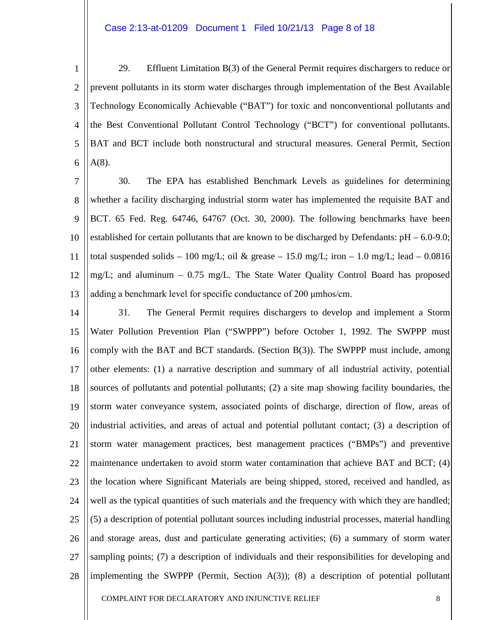#### Case 2:13-at-01209 Document 1 Filed 10/21/13 Page 8 of 18

1 2 3 4 5 6 29. Effluent Limitation B(3) of the General Permit requires dischargers to reduce or prevent pollutants in its storm water discharges through implementation of the Best Available Technology Economically Achievable ("BAT") for toxic and nonconventional pollutants and the Best Conventional Pollutant Control Technology ("BCT") for conventional pollutants. BAT and BCT include both nonstructural and structural measures. General Permit, Section A(8).

7 8 9 10 11 12 13 30. The EPA has established Benchmark Levels as guidelines for determining whether a facility discharging industrial storm water has implemented the requisite BAT and BCT. 65 Fed. Reg. 64746, 64767 (Oct. 30, 2000). The following benchmarks have been established for certain pollutants that are known to be discharged by Defendants:  $pH - 6.0-9.0$ ; total suspended solids – 100 mg/L; oil & grease – 15.0 mg/L; iron – 1.0 mg/L; lead – 0.0816 mg/L; and aluminum – 0.75 mg/L. The State Water Quality Control Board has proposed adding a benchmark level for specific conductance of 200 μmhos/cm.

14 15 16 17 18 19 20 21 22 23 24 25 26 27 28 31. The General Permit requires dischargers to develop and implement a Storm Water Pollution Prevention Plan ("SWPPP") before October 1, 1992. The SWPPP must comply with the BAT and BCT standards. (Section B(3)). The SWPPP must include, among other elements: (1) a narrative description and summary of all industrial activity, potential sources of pollutants and potential pollutants; (2) a site map showing facility boundaries, the storm water conveyance system, associated points of discharge, direction of flow, areas of industrial activities, and areas of actual and potential pollutant contact; (3) a description of storm water management practices, best management practices ("BMPs") and preventive maintenance undertaken to avoid storm water contamination that achieve BAT and BCT; (4) the location where Significant Materials are being shipped, stored, received and handled, as well as the typical quantities of such materials and the frequency with which they are handled; (5) a description of potential pollutant sources including industrial processes, material handling and storage areas, dust and particulate generating activities; (6) a summary of storm water sampling points; (7) a description of individuals and their responsibilities for developing and implementing the SWPPP (Permit, Section A(3)); (8) a description of potential pollutant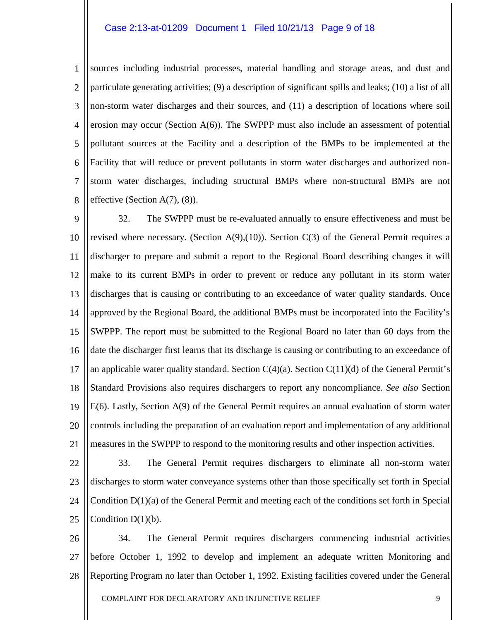#### Case 2:13-at-01209 Document 1 Filed 10/21/13 Page 9 of 18

1 2 3 4 5 6 7 8 sources including industrial processes, material handling and storage areas, and dust and particulate generating activities; (9) a description of significant spills and leaks; (10) a list of all non-storm water discharges and their sources, and (11) a description of locations where soil erosion may occur (Section  $A(6)$ ). The SWPPP must also include an assessment of potential pollutant sources at the Facility and a description of the BMPs to be implemented at the Facility that will reduce or prevent pollutants in storm water discharges and authorized nonstorm water discharges, including structural BMPs where non-structural BMPs are not effective (Section  $A(7)$ ,  $(8)$ ).

9 10 11 12 13 14 15 16 17 18 19 20 21 32. The SWPPP must be re-evaluated annually to ensure effectiveness and must be revised where necessary. (Section  $A(9)$ ,(10)). Section  $C(3)$  of the General Permit requires a discharger to prepare and submit a report to the Regional Board describing changes it will make to its current BMPs in order to prevent or reduce any pollutant in its storm water discharges that is causing or contributing to an exceedance of water quality standards. Once approved by the Regional Board, the additional BMPs must be incorporated into the Facility's SWPPP. The report must be submitted to the Regional Board no later than 60 days from the date the discharger first learns that its discharge is causing or contributing to an exceedance of an applicable water quality standard. Section  $C(4)(a)$ . Section  $C(11)(d)$  of the General Permit's Standard Provisions also requires dischargers to report any noncompliance. *See also* Section E(6). Lastly, Section A(9) of the General Permit requires an annual evaluation of storm water controls including the preparation of an evaluation report and implementation of any additional measures in the SWPPP to respond to the monitoring results and other inspection activities.

22 23 24 25 33. The General Permit requires dischargers to eliminate all non-storm water discharges to storm water conveyance systems other than those specifically set forth in Special Condition  $D(1)(a)$  of the General Permit and meeting each of the conditions set forth in Special Condition  $D(1)(b)$ .

26 27 28 34. The General Permit requires dischargers commencing industrial activities before October 1, 1992 to develop and implement an adequate written Monitoring and Reporting Program no later than October 1, 1992. Existing facilities covered under the General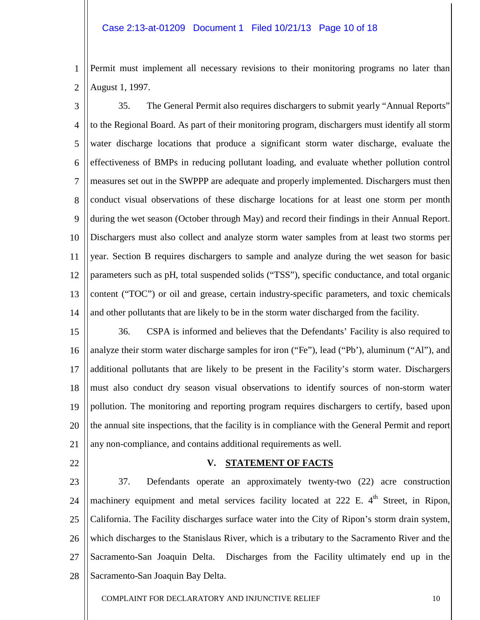#### Case 2:13-at-01209 Document 1 Filed 10/21/13 Page 10 of 18

- Permit must implement all necessary revisions to their monitoring programs no later than August 1, 1997.
- 2

1

3 4 5 6 7 8 9 10 11 12 13 14 35. The General Permit also requires dischargers to submit yearly "Annual Reports" to the Regional Board. As part of their monitoring program, dischargers must identify all storm water discharge locations that produce a significant storm water discharge, evaluate the effectiveness of BMPs in reducing pollutant loading, and evaluate whether pollution control measures set out in the SWPPP are adequate and properly implemented. Dischargers must then conduct visual observations of these discharge locations for at least one storm per month during the wet season (October through May) and record their findings in their Annual Report. Dischargers must also collect and analyze storm water samples from at least two storms per year. Section B requires dischargers to sample and analyze during the wet season for basic parameters such as pH, total suspended solids ("TSS"), specific conductance, and total organic content ("TOC") or oil and grease, certain industry-specific parameters, and toxic chemicals and other pollutants that are likely to be in the storm water discharged from the facility.

15 16 17 18 19 20 21 36. CSPA is informed and believes that the Defendants' Facility is also required to analyze their storm water discharge samples for iron ("Fe"), lead ("Pb'), aluminum ("Al"), and additional pollutants that are likely to be present in the Facility's storm water. Dischargers must also conduct dry season visual observations to identify sources of non-storm water pollution. The monitoring and reporting program requires dischargers to certify, based upon the annual site inspections, that the facility is in compliance with the General Permit and report any non-compliance, and contains additional requirements as well.

22

#### **V. STATEMENT OF FACTS**

23 24 25 26 27 28 37. Defendants operate an approximately twenty-two (22) acre construction machinery equipment and metal services facility located at 222 E. 4<sup>th</sup> Street, in Ripon, California. The Facility discharges surface water into the City of Ripon's storm drain system, which discharges to the Stanislaus River, which is a tributary to the Sacramento River and the Sacramento-San Joaquin Delta. Discharges from the Facility ultimately end up in the Sacramento-San Joaquin Bay Delta.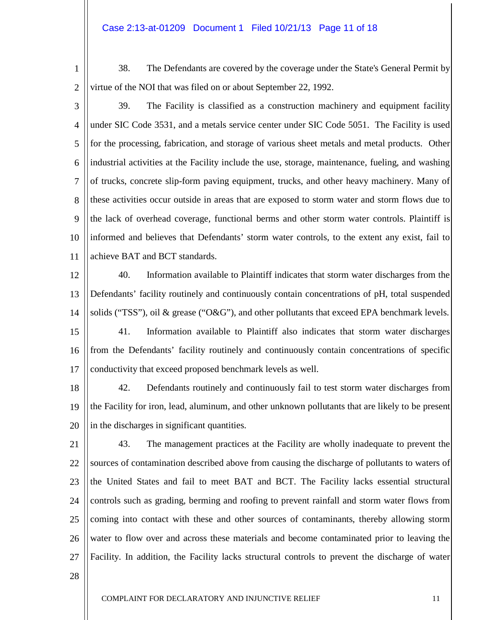#### Case 2:13-at-01209 Document 1 Filed 10/21/13 Page 11 of 18

1

38. The Defendants are covered by the coverage under the State's General Permit by virtue of the NOI that was filed on or about September 22, 1992.

2

3 4 5 6 7 8 9 10 11 39. The Facility is classified as a construction machinery and equipment facility under SIC Code 3531, and a metals service center under SIC Code 5051. The Facility is used for the processing, fabrication, and storage of various sheet metals and metal products. Other industrial activities at the Facility include the use, storage, maintenance, fueling, and washing of trucks, concrete slip-form paving equipment, trucks, and other heavy machinery. Many of these activities occur outside in areas that are exposed to storm water and storm flows due to the lack of overhead coverage, functional berms and other storm water controls. Plaintiff is informed and believes that Defendants' storm water controls, to the extent any exist, fail to achieve BAT and BCT standards.

12 13 14 15 16 17 40. Information available to Plaintiff indicates that storm water discharges from the Defendants' facility routinely and continuously contain concentrations of pH, total suspended solids ("TSS"), oil & grease ("O&G"), and other pollutants that exceed EPA benchmark levels. 41. Information available to Plaintiff also indicates that storm water discharges from the Defendants' facility routinely and continuously contain concentrations of specific conductivity that exceed proposed benchmark levels as well.

18 19 20 42. Defendants routinely and continuously fail to test storm water discharges from the Facility for iron, lead, aluminum, and other unknown pollutants that are likely to be present in the discharges in significant quantities.

- 21 22 23 24 25 26 27 43. The management practices at the Facility are wholly inadequate to prevent the sources of contamination described above from causing the discharge of pollutants to waters of the United States and fail to meet BAT and BCT. The Facility lacks essential structural controls such as grading, berming and roofing to prevent rainfall and storm water flows from coming into contact with these and other sources of contaminants, thereby allowing storm water to flow over and across these materials and become contaminated prior to leaving the Facility. In addition, the Facility lacks structural controls to prevent the discharge of water
- 28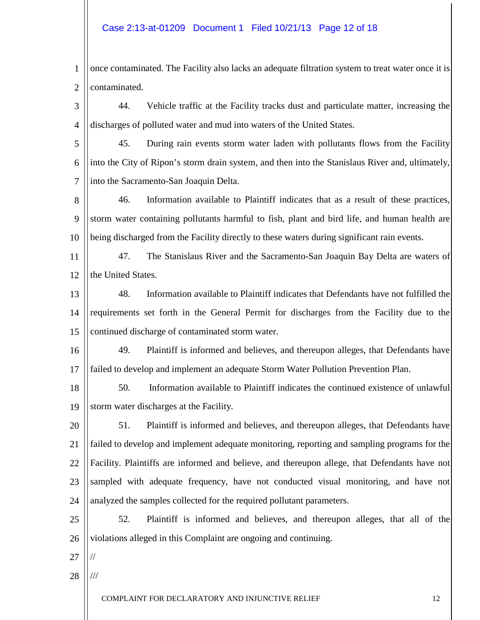#### Case 2:13-at-01209 Document 1 Filed 10/21/13 Page 12 of 18

- 1 2 once contaminated. The Facility also lacks an adequate filtration system to treat water once it is contaminated.
- 3 4 44. Vehicle traffic at the Facility tracks dust and particulate matter, increasing the discharges of polluted water and mud into waters of the United States.

5 6 7 45. During rain events storm water laden with pollutants flows from the Facility into the City of Ripon's storm drain system, and then into the Stanislaus River and, ultimately, into the Sacramento-San Joaquin Delta.

8 9 10 46. Information available to Plaintiff indicates that as a result of these practices, storm water containing pollutants harmful to fish, plant and bird life, and human health are being discharged from the Facility directly to these waters during significant rain events.

11 12 47. The Stanislaus River and the Sacramento-San Joaquin Bay Delta are waters of the United States.

13 14 15 48. Information available to Plaintiff indicates that Defendants have not fulfilled the requirements set forth in the General Permit for discharges from the Facility due to the continued discharge of contaminated storm water.

16 17 49. Plaintiff is informed and believes, and thereupon alleges, that Defendants have failed to develop and implement an adequate Storm Water Pollution Prevention Plan.

18 19 50. Information available to Plaintiff indicates the continued existence of unlawful storm water discharges at the Facility.

20 21 22 23 24 51. Plaintiff is informed and believes, and thereupon alleges, that Defendants have failed to develop and implement adequate monitoring, reporting and sampling programs for the Facility. Plaintiffs are informed and believe, and thereupon allege, that Defendants have not sampled with adequate frequency, have not conducted visual monitoring, and have not analyzed the samples collected for the required pollutant parameters.

25 26 52. Plaintiff is informed and believes, and thereupon alleges, that all of the violations alleged in this Complaint are ongoing and continuing.

27

//

28 ///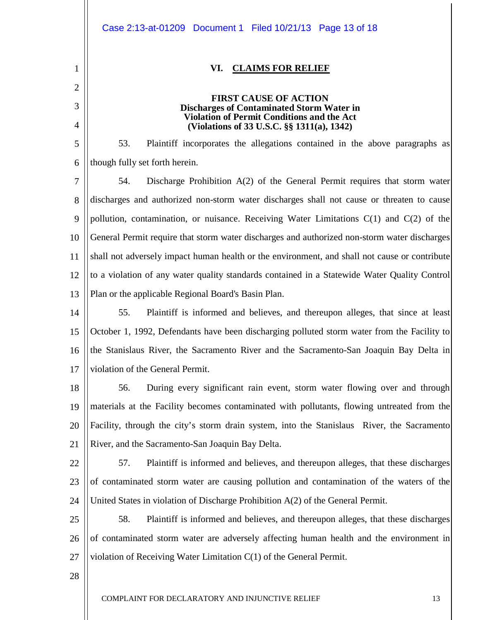|                | Case 2:13-at-01209 Document 1 Filed 10/21/13 Page 13 of 18                                      |
|----------------|-------------------------------------------------------------------------------------------------|
| 1              | VI.<br><b>CLAIMS FOR RELIEF</b>                                                                 |
| $\overline{2}$ |                                                                                                 |
| 3              | <b>FIRST CAUSE OF ACTION</b><br><b>Discharges of Contaminated Storm Water in</b>                |
| 4              | <b>Violation of Permit Conditions and the Act</b><br>(Violations of 33 U.S.C. §§ 1311(a), 1342) |
| 5              | 53.<br>Plaintiff incorporates the allegations contained in the above paragraphs as              |
| 6              | though fully set forth herein.                                                                  |
| 7              | Discharge Prohibition A(2) of the General Permit requires that storm water<br>54.               |
| 8              | discharges and authorized non-storm water discharges shall not cause or threaten to cause       |
| 9              | pollution, contamination, or nuisance. Receiving Water Limitations $C(1)$ and $C(2)$ of the     |
| 10             | General Permit require that storm water discharges and authorized non-storm water discharges    |
| 11             | shall not adversely impact human health or the environment, and shall not cause or contribute   |
| 12             | to a violation of any water quality standards contained in a Statewide Water Quality Control    |
| 13             | Plan or the applicable Regional Board's Basin Plan.                                             |
| 14             | 55.<br>Plaintiff is informed and believes, and thereupon alleges, that since at least           |
| 15             | October 1, 1992, Defendants have been discharging polluted storm water from the Facility to     |
|                | 16    the Stanislaus River, the Sacramento River and the Sacramento-San Joaquin Bay Delta in    |
| 17             | violation of the General Permit.                                                                |
| 18             | 56.<br>During every significant rain event, storm water flowing over and through                |
| 19             | materials at the Facility becomes contaminated with pollutants, flowing untreated from the      |
| 20             | Facility, through the city's storm drain system, into the Stanislaus River, the Sacramento      |
| 21             | River, and the Sacramento-San Joaquin Bay Delta.                                                |
| 22             | 57.<br>Plaintiff is informed and believes, and thereupon alleges, that these discharges         |
| 23             | of contaminated storm water are causing pollution and contamination of the waters of the        |
| 24             | United States in violation of Discharge Prohibition A(2) of the General Permit.                 |
| 25             | 58.<br>Plaintiff is informed and believes, and thereupon alleges, that these discharges         |
| 26             | of contaminated storm water are adversely affecting human health and the environment in         |
| 27             | violation of Receiving Water Limitation $C(1)$ of the General Permit.                           |
| 28             |                                                                                                 |
|                | COMPLAINT FOR DECLARATORY AND INJUNCTIVE RELIEF<br>13                                           |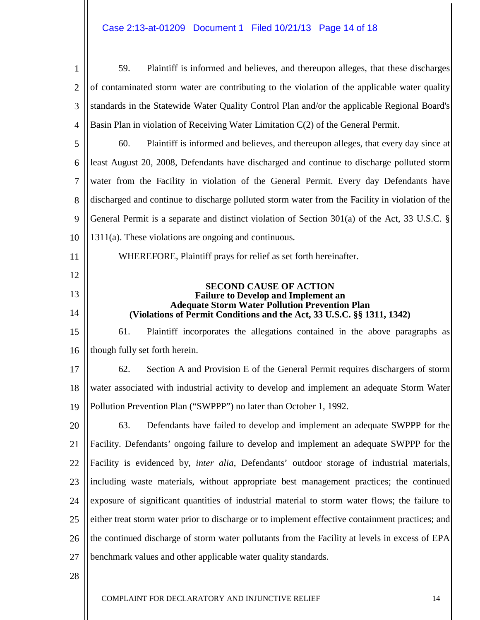# Case 2:13-at-01209 Document 1 Filed 10/21/13 Page 14 of 18

| $\mathbf{1}$   | 59.<br>Plaintiff is informed and believes, and thereupon alleges, that these discharges                                         |
|----------------|---------------------------------------------------------------------------------------------------------------------------------|
| $\overline{2}$ | of contaminated storm water are contributing to the violation of the applicable water quality                                   |
| 3              | standards in the Statewide Water Quality Control Plan and/or the applicable Regional Board's                                    |
| 4              | Basin Plan in violation of Receiving Water Limitation C(2) of the General Permit.                                               |
| 5              | 60.<br>Plaintiff is informed and believes, and thereupon alleges, that every day since at                                       |
| 6              | least August 20, 2008, Defendants have discharged and continue to discharge polluted storm                                      |
| $\tau$         | water from the Facility in violation of the General Permit. Every day Defendants have                                           |
| 8              | discharged and continue to discharge polluted storm water from the Facility in violation of the                                 |
| 9              | General Permit is a separate and distinct violation of Section $301(a)$ of the Act, 33 U.S.C. §                                 |
| 10             | $1311(a)$ . These violations are ongoing and continuous.                                                                        |
| 11             | WHEREFORE, Plaintiff prays for relief as set forth hereinafter.                                                                 |
| 12             |                                                                                                                                 |
| 13             | <b>SECOND CAUSE OF ACTION</b><br><b>Failure to Develop and Implement an</b>                                                     |
| 14             | <b>Adequate Storm Water Pollution Prevention Plan</b><br>(Violations of Permit Conditions and the Act, 33 U.S.C. §§ 1311, 1342) |
| 15             | 61.<br>Plaintiff incorporates the allegations contained in the above paragraphs as                                              |
| 16             | though fully set forth herein.                                                                                                  |
| 17             | 62.<br>Section A and Provision E of the General Permit requires dischargers of storm                                            |
| 18             | water associated with industrial activity to develop and implement an adequate Storm Water                                      |
| 19             | Pollution Prevention Plan ("SWPPP") no later than October 1, 1992.                                                              |
| 20             | 63.<br>Defendants have failed to develop and implement an adequate SWPPP for the                                                |
| 21             | Facility. Defendants' ongoing failure to develop and implement an adequate SWPPP for the                                        |
| 22             | Facility is evidenced by, <i>inter alia</i> , Defendants' outdoor storage of industrial materials,                              |
| 23             | including waste materials, without appropriate best management practices; the continued                                         |
| 24             | exposure of significant quantities of industrial material to storm water flows; the failure to                                  |
| 25             | either treat storm water prior to discharge or to implement effective containment practices; and                                |
| 26             | the continued discharge of storm water pollutants from the Facility at levels in excess of EPA                                  |
| 27             | benchmark values and other applicable water quality standards.                                                                  |
| 28             |                                                                                                                                 |
|                |                                                                                                                                 |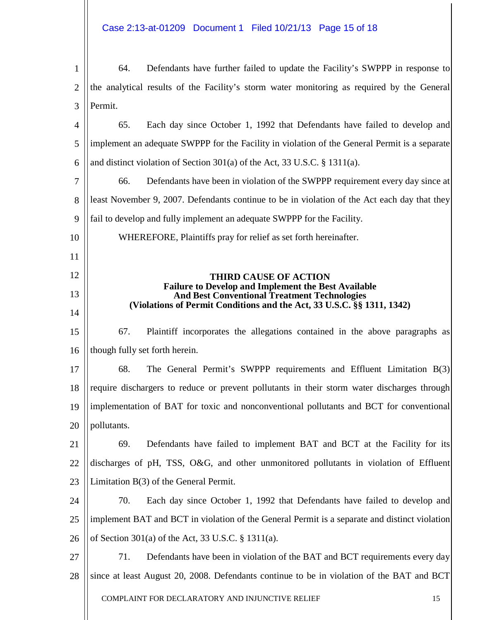COMPLAINT FOR DECLARATORY AND INJUNCTIVE RELIEF 15 1 2 3 4 5 6 7 8 9 10 11 12 13 14 15 16 17 18 19 20 21 22 23 24 25 26 27 28 64. Defendants have further failed to update the Facility's SWPPP in response to the analytical results of the Facility's storm water monitoring as required by the General Permit. 65. Each day since October 1, 1992 that Defendants have failed to develop and implement an adequate SWPPP for the Facility in violation of the General Permit is a separate and distinct violation of Section 301(a) of the Act, 33 U.S.C. § 1311(a). 66. Defendants have been in violation of the SWPPP requirement every day since at least November 9, 2007. Defendants continue to be in violation of the Act each day that they fail to develop and fully implement an adequate SWPPP for the Facility. WHEREFORE, Plaintiffs pray for relief as set forth hereinafter. **THIRD CAUSE OF ACTION Failure to Develop and Implement the Best Available And Best Conventional Treatment Technologies (Violations of Permit Conditions and the Act, 33 U.S.C. §§ 1311, 1342)** 67. Plaintiff incorporates the allegations contained in the above paragraphs as though fully set forth herein. 68. The General Permit's SWPPP requirements and Effluent Limitation B(3) require dischargers to reduce or prevent pollutants in their storm water discharges through implementation of BAT for toxic and nonconventional pollutants and BCT for conventional pollutants. 69. Defendants have failed to implement BAT and BCT at the Facility for its discharges of pH, TSS, O&G, and other unmonitored pollutants in violation of Effluent Limitation B(3) of the General Permit. 70. Each day since October 1, 1992 that Defendants have failed to develop and implement BAT and BCT in violation of the General Permit is a separate and distinct violation of Section 301(a) of the Act, 33 U.S.C. § 1311(a). 71. Defendants have been in violation of the BAT and BCT requirements every day since at least August 20, 2008. Defendants continue to be in violation of the BAT and BCT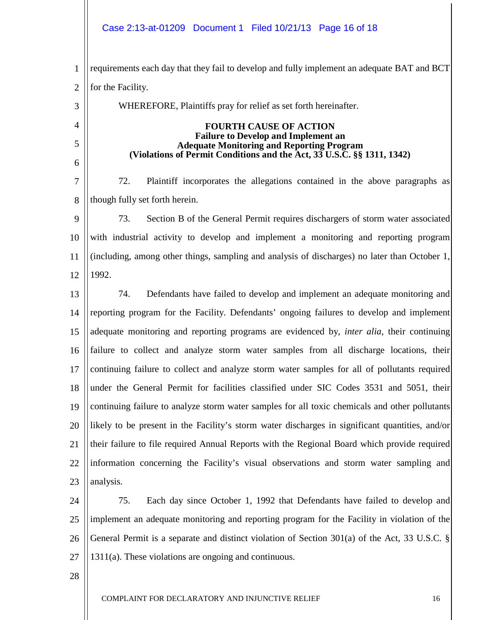# Case 2:13-at-01209 Document 1 Filed 10/21/13 Page 16 of 18

1 2 3 4 5 6 7 8 9 10 11 12 13 14 15 16 17 18 19 20 21 22 23 24 25 26 27 28 requirements each day that they fail to develop and fully implement an adequate BAT and BCT for the Facility. WHEREFORE, Plaintiffs pray for relief as set forth hereinafter. **FOURTH CAUSE OF ACTION Failure to Develop and Implement an Adequate Monitoring and Reporting Program (Violations of Permit Conditions and the Act, 33 U.S.C. §§ 1311, 1342)** 72. Plaintiff incorporates the allegations contained in the above paragraphs as though fully set forth herein. 73. Section B of the General Permit requires dischargers of storm water associated with industrial activity to develop and implement a monitoring and reporting program (including, among other things, sampling and analysis of discharges) no later than October 1, 1992. 74. Defendants have failed to develop and implement an adequate monitoring and reporting program for the Facility. Defendants' ongoing failures to develop and implement adequate monitoring and reporting programs are evidenced by, *inter alia*, their continuing failure to collect and analyze storm water samples from all discharge locations, their continuing failure to collect and analyze storm water samples for all of pollutants required under the General Permit for facilities classified under SIC Codes 3531 and 5051, their continuing failure to analyze storm water samples for all toxic chemicals and other pollutants likely to be present in the Facility's storm water discharges in significant quantities, and/or their failure to file required Annual Reports with the Regional Board which provide required information concerning the Facility's visual observations and storm water sampling and analysis. 75. Each day since October 1, 1992 that Defendants have failed to develop and implement an adequate monitoring and reporting program for the Facility in violation of the General Permit is a separate and distinct violation of Section 301(a) of the Act, 33 U.S.C. § 1311(a). These violations are ongoing and continuous.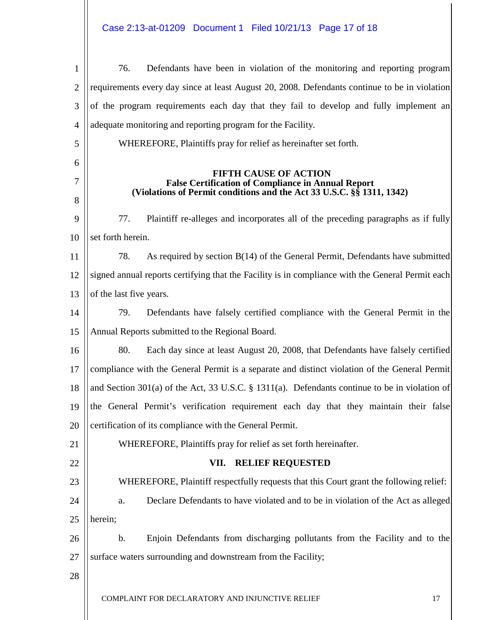# Case 2:13-at-01209 Document 1 Filed 10/21/13 Page 17 of 18

| 1              | Defendants have been in violation of the monitoring and reporting program<br>76.                 |  |  |  |  |  |
|----------------|--------------------------------------------------------------------------------------------------|--|--|--|--|--|
| $\overline{2}$ | requirements every day since at least August 20, 2008. Defendants continue to be in violation    |  |  |  |  |  |
| 3              | of the program requirements each day that they fail to develop and fully implement an            |  |  |  |  |  |
| 4              | adequate monitoring and reporting program for the Facility.                                      |  |  |  |  |  |
| 5              | WHEREFORE, Plaintiffs pray for relief as hereinafter set forth.                                  |  |  |  |  |  |
| 6              |                                                                                                  |  |  |  |  |  |
| 7              | <b>FIFTH CAUSE OF ACTION</b><br><b>False Certification of Compliance in Annual Report</b>        |  |  |  |  |  |
| 8              | (Violations of Permit conditions and the Act 33 U.S.C. §§ 1311, 1342)                            |  |  |  |  |  |
| 9              | Plaintiff re-alleges and incorporates all of the preceding paragraphs as if fully<br>77.         |  |  |  |  |  |
| 10             | set forth herein.                                                                                |  |  |  |  |  |
| 11             | As required by section B(14) of the General Permit, Defendants have submitted<br>78.             |  |  |  |  |  |
| 12             | signed annual reports certifying that the Facility is in compliance with the General Permit each |  |  |  |  |  |
| 13             | of the last five years.                                                                          |  |  |  |  |  |
| 14             | Defendants have falsely certified compliance with the General Permit in the<br>79.               |  |  |  |  |  |
| 15             | Annual Reports submitted to the Regional Board.                                                  |  |  |  |  |  |
| 16             | 80.<br>Each day since at least August 20, 2008, that Defendants have falsely certified           |  |  |  |  |  |
| 17             | compliance with the General Permit is a separate and distinct violation of the General Permit    |  |  |  |  |  |
| 18             | and Section 301(a) of the Act, 33 U.S.C. § 1311(a). Defendants continue to be in violation of    |  |  |  |  |  |
| 19             | the General Permit's verification requirement each day that they maintain their false            |  |  |  |  |  |
| 20             | certification of its compliance with the General Permit.                                         |  |  |  |  |  |
| 21             | WHEREFORE, Plaintiffs pray for relief as set forth hereinafter.                                  |  |  |  |  |  |
| 22             | <b>RELIEF REQUESTED</b><br>VII.                                                                  |  |  |  |  |  |
| 23             | WHEREFORE, Plaintiff respectfully requests that this Court grant the following relief:           |  |  |  |  |  |
| 24             | Declare Defendants to have violated and to be in violation of the Act as alleged<br>a.           |  |  |  |  |  |
| 25             | herein;                                                                                          |  |  |  |  |  |
| 26             | Enjoin Defendants from discharging pollutants from the Facility and to the<br>b.                 |  |  |  |  |  |
| 27             | surface waters surrounding and downstream from the Facility;                                     |  |  |  |  |  |
| 28             |                                                                                                  |  |  |  |  |  |
|                | COMPLAINT FOR DECLARATORY AND INJUNCTIVE RELIEF<br>17                                            |  |  |  |  |  |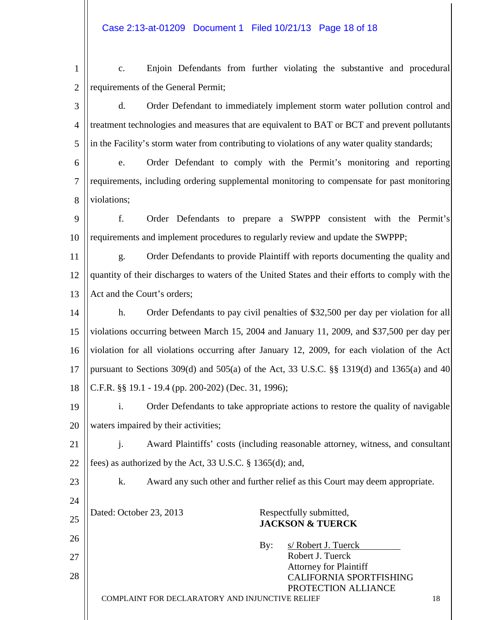| $\mathbf{1}$   | Enjoin Defendants from further violating the substantive and procedural<br>c.                    |  |  |  |  |
|----------------|--------------------------------------------------------------------------------------------------|--|--|--|--|
| $\overline{2}$ | requirements of the General Permit;                                                              |  |  |  |  |
| 3              | Order Defendant to immediately implement storm water pollution control and<br>d.                 |  |  |  |  |
| 4              | treatment technologies and measures that are equivalent to BAT or BCT and prevent pollutants     |  |  |  |  |
| 5              | in the Facility's storm water from contributing to violations of any water quality standards;    |  |  |  |  |
| 6              | Order Defendant to comply with the Permit's monitoring and reporting<br>e.                       |  |  |  |  |
| 7              | requirements, including ordering supplemental monitoring to compensate for past monitoring       |  |  |  |  |
| 8              | violations;                                                                                      |  |  |  |  |
| 9              | f.<br>Order Defendants to prepare a SWPPP consistent with the Permit's                           |  |  |  |  |
| 10             | requirements and implement procedures to regularly review and update the SWPPP;                  |  |  |  |  |
| 11             | Order Defendants to provide Plaintiff with reports documenting the quality and<br>g.             |  |  |  |  |
| 12             | quantity of their discharges to waters of the United States and their efforts to comply with the |  |  |  |  |
| 13             | Act and the Court's orders;                                                                      |  |  |  |  |
| 14             | h.<br>Order Defendants to pay civil penalties of \$32,500 per day per violation for all          |  |  |  |  |
| 15             | violations occurring between March 15, 2004 and January 11, 2009, and \$37,500 per day per       |  |  |  |  |
| 16             | violation for all violations occurring after January 12, 2009, for each violation of the Act     |  |  |  |  |
| 17             | pursuant to Sections 309(d) and 505(a) of the Act, 33 U.S.C. $\S$ 1319(d) and 1365(a) and 40     |  |  |  |  |
| 18             | C.F.R. §§ 19.1 - 19.4 (pp. 200-202) (Dec. 31, 1996);                                             |  |  |  |  |
| 19             | i.<br>Order Defendants to take appropriate actions to restore the quality of navigable           |  |  |  |  |
| 20             | waters impaired by their activities;                                                             |  |  |  |  |
| 21             | Award Plaintiffs' costs (including reasonable attorney, witness, and consultant<br>j.            |  |  |  |  |
| 22             | fees) as authorized by the Act, 33 U.S.C. § 1365(d); and,                                        |  |  |  |  |
| 23             | k.<br>Award any such other and further relief as this Court may deem appropriate.                |  |  |  |  |
| 24             |                                                                                                  |  |  |  |  |
| 25             | Dated: October 23, 2013<br>Respectfully submitted,<br><b>JACKSON &amp; TUERCK</b>                |  |  |  |  |
| 26             | s/ Robert J. Tuerck<br>By:                                                                       |  |  |  |  |
| 27             | Robert J. Tuerck<br><b>Attorney for Plaintiff</b>                                                |  |  |  |  |
| 28             | <b>CALIFORNIA SPORTFISHING</b>                                                                   |  |  |  |  |
|                | PROTECTION ALLIANCE<br>COMPLAINT FOR DECLARATORY AND INJUNCTIVE RELIEF<br>18                     |  |  |  |  |
|                |                                                                                                  |  |  |  |  |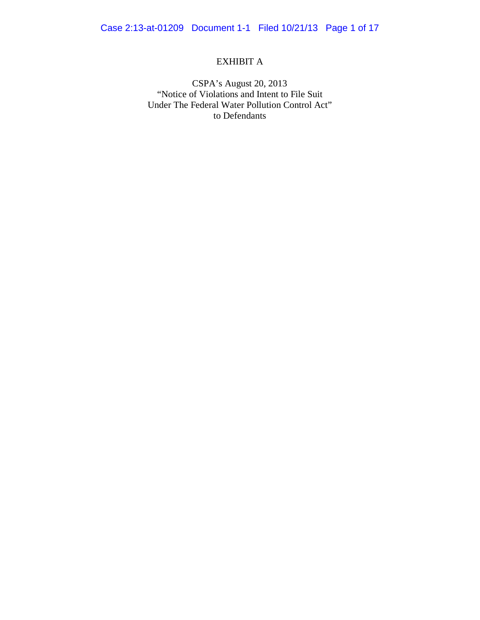# EXHIBIT A

CSPA's August 20, 2013 "Notice of Violations and Intent to File Suit Under The Federal Water Pollution Control Act" to Defendants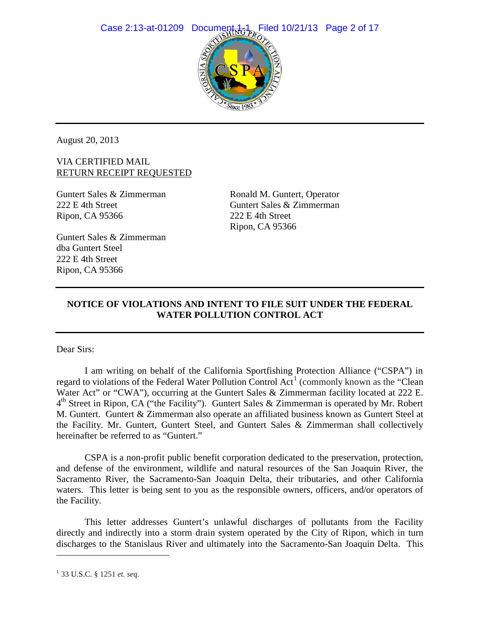

August 20, 2013

# VIA CERTIFIED MAIL RETURN RECEIPT REQUESTED

Guntert Sales & Zimmerman 222 E 4th Street Ripon, CA 95366

Ronald M. Guntert, Operator Guntert Sales & Zimmerman 222 E 4th Street Ripon, CA 95366

Guntert Sales & Zimmerman dba Guntert Steel 222 E 4th Street Ripon, CA 95366

# **NOTICE OF VIOLATIONS AND INTENT TO FILE SUIT UNDER THE FEDERAL WATER POLLUTION CONTROL ACT**

Dear Sirs:

I am writing on behalf of the California Sportfishing Protection Alliance ("CSPA") in regard to violations of the Federal Water Pollution Control Act<sup>[1](#page-19-0)</sup> (commonly known as the "Clean" Water Act" or "CWA"), occurring at the Guntert Sales & Zimmerman facility located at 222 E.  $4<sup>th</sup>$  Street in Ripon, CA ("the Facility"). Guntert Sales & Zimmerman is operated by Mr. Robert M. Guntert. Guntert & Zimmerman also operate an affiliated business known as Guntert Steel at the Facility. Mr. Guntert, Guntert Steel, and Guntert Sales & Zimmerman shall collectively hereinafter be referred to as "Guntert."

CSPA is a non-profit public benefit corporation dedicated to the preservation, protection, and defense of the environment, wildlife and natural resources of the San Joaquin River, the Sacramento River, the Sacramento-San Joaquin Delta, their tributaries, and other California waters. This letter is being sent to you as the responsible owners, officers, and/or operators of the Facility.

<span id="page-19-0"></span>This letter addresses Guntert's unlawful discharges of pollutants from the Facility directly and indirectly into a storm drain system operated by the City of Ripon, which in turn discharges to the Stanislaus River and ultimately into the Sacramento-San Joaquin Delta. This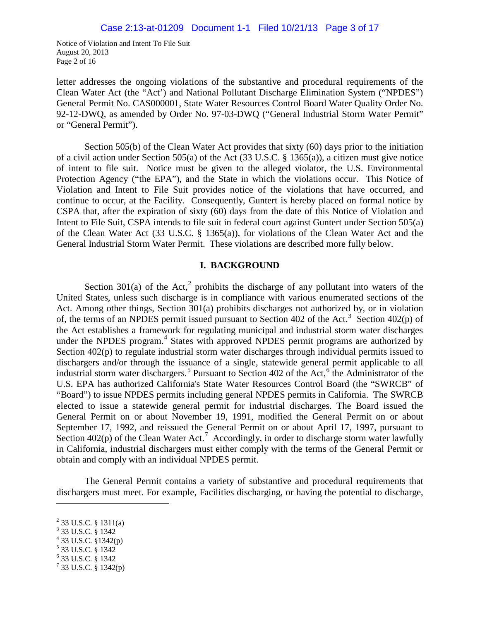Notice of Violation and Intent To File Suit August 20, 2013 Page 2 of 16

letter addresses the ongoing violations of the substantive and procedural requirements of the Clean Water Act (the "Act') and National Pollutant Discharge Elimination System ("NPDES") General Permit No. CAS000001, State Water Resources Control Board Water Quality Order No. 92-12-DWQ, as amended by Order No. 97-03-DWQ ("General Industrial Storm Water Permit" or "General Permit").

Section 505(b) of the Clean Water Act provides that sixty (60) days prior to the initiation of a civil action under Section 505(a) of the Act (33 U.S.C. § 1365(a)), a citizen must give notice of intent to file suit. Notice must be given to the alleged violator, the U.S. Environmental Protection Agency ("the EPA"), and the State in which the violations occur. This Notice of Violation and Intent to File Suit provides notice of the violations that have occurred, and continue to occur, at the Facility. Consequently, Guntert is hereby placed on formal notice by CSPA that, after the expiration of sixty (60) days from the date of this Notice of Violation and Intent to File Suit, CSPA intends to file suit in federal court against Guntert under Section 505(a) of the Clean Water Act (33 U.S.C. § 1365(a)), for violations of the Clean Water Act and the General Industrial Storm Water Permit. These violations are described more fully below.

#### **I. BACKGROUND**

Section 301(a) of the Act,<sup>[2](#page-20-0)</sup> prohibits the discharge of any pollutant into waters of the United States, unless such discharge is in compliance with various enumerated sections of the Act. Among other things, Section 301(a) prohibits discharges not authorized by, or in violation of, the terms of an NPDES permit issued pursuant to Section 402 of the Act.<sup>[3](#page-20-1)</sup> Section 402(p) of the Act establishes a framework for regulating municipal and industrial storm water discharges under the NPDES program.<sup>[4](#page-20-2)</sup> States with approved NPDES permit programs are authorized by Section 402(p) to regulate industrial storm water discharges through individual permits issued to dischargers and/or through the issuance of a single, statewide general permit applicable to all industrial storm water dischargers.<sup>[5](#page-20-3)</sup> Pursuant to Section 402 of the Act,<sup>[6](#page-20-4)</sup> the Administrator of the U.S. EPA has authorized California's State Water Resources Control Board (the "SWRCB" of "Board") to issue NPDES permits including general NPDES permits in California. The SWRCB elected to issue a statewide general permit for industrial discharges. The Board issued the General Permit on or about November 19, 1991, modified the General Permit on or about September 17, 1992, and reissued the General Permit on or about April 17, 1997, pursuant to Section 402(p) of the Clean Water Act.<sup>[7](#page-20-5)</sup> Accordingly, in order to discharge storm water lawfully in California, industrial dischargers must either comply with the terms of the General Permit or obtain and comply with an individual NPDES permit.

The General Permit contains a variety of substantive and procedural requirements that dischargers must meet. For example, Facilities discharging, or having the potential to discharge,

- $4$  33 U.S.C. §1342(p)
- <sup>5</sup> 33 U.S.C. § 1342
- <span id="page-20-4"></span><span id="page-20-3"></span> $6\overline{33}$  U.S.C. § 1342

<sup>2</sup> 33 U.S.C. § 1311(a)

<span id="page-20-2"></span><span id="page-20-1"></span><span id="page-20-0"></span><sup>3</sup> 33 U.S.C. § 1342

<span id="page-20-5"></span> $7$  33 U.S.C. § 1342(p)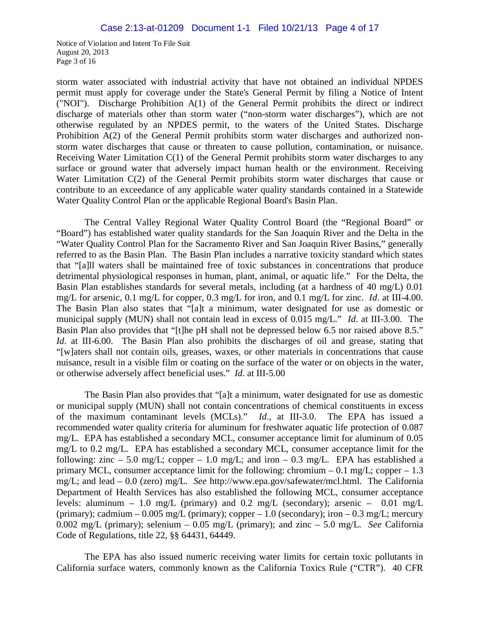Notice of Violation and Intent To File Suit August 20, 2013 Page 3 of 16

storm water associated with industrial activity that have not obtained an individual NPDES permit must apply for coverage under the State's General Permit by filing a Notice of Intent ("NOI"). Discharge Prohibition A(1) of the General Permit prohibits the direct or indirect discharge of materials other than storm water ("non-storm water discharges"), which are not otherwise regulated by an NPDES permit, to the waters of the United States. Discharge Prohibition A(2) of the General Permit prohibits storm water discharges and authorized nonstorm water discharges that cause or threaten to cause pollution, contamination, or nuisance. Receiving Water Limitation C(1) of the General Permit prohibits storm water discharges to any surface or ground water that adversely impact human health or the environment. Receiving Water Limitation C(2) of the General Permit prohibits storm water discharges that cause or contribute to an exceedance of any applicable water quality standards contained in a Statewide Water Quality Control Plan or the applicable Regional Board's Basin Plan.

The Central Valley Regional Water Quality Control Board (the "Regional Board" or "Board") has established water quality standards for the San Joaquin River and the Delta in the "Water Quality Control Plan for the Sacramento River and San Joaquin River Basins," generally referred to as the Basin Plan. The Basin Plan includes a narrative toxicity standard which states that "[a]ll waters shall be maintained free of toxic substances in concentrations that produce detrimental physiological responses in human, plant, animal, or aquatic life." For the Delta, the Basin Plan establishes standards for several metals, including (at a hardness of 40 mg/L) 0.01 mg/L for arsenic, 0.1 mg/L for copper, 0.3 mg/L for iron, and 0.1 mg/L for zinc. *Id*. at III-4.00. The Basin Plan also states that "[a]t a minimum, water designated for use as domestic or municipal supply (MUN) shall not contain lead in excess of 0.015 mg/L." *Id*. at III-3.00. The Basin Plan also provides that "[t]he pH shall not be depressed below 6.5 nor raised above 8.5." *Id.* at III-6.00. The Basin Plan also prohibits the discharges of oil and grease, stating that "[w]aters shall not contain oils, greases, waxes, or other materials in concentrations that cause nuisance, result in a visible film or coating on the surface of the water or on objects in the water, or otherwise adversely affect beneficial uses." *Id*. at III-5.00

The Basin Plan also provides that "[a]t a minimum, water designated for use as domestic or municipal supply (MUN) shall not contain concentrations of chemical constituents in excess of the maximum contaminant levels (MCLs)." *Id*., at III-3.0. The EPA has issued a recommended water quality criteria for aluminum for freshwater aquatic life protection of 0.087 mg/L. EPA has established a secondary MCL, consumer acceptance limit for aluminum of 0.05 mg/L to 0.2 mg/L. EPA has established a secondary MCL, consumer acceptance limit for the following: zinc  $-5.0$  mg/L; copper  $-1.0$  mg/L; and iron  $-0.3$  mg/L. EPA has established a primary MCL, consumer acceptance limit for the following: chromium – 0.1 mg/L; copper – 1.3 mg/L; and lead – 0.0 (zero) mg/L. *See* http://www.epa.gov/safewater/mcl.html. The California Department of Health Services has also established the following MCL, consumer acceptance levels: aluminum – 1.0 mg/L (primary) and 0.2 mg/L (secondary); arsenic – 0.01 mg/L (primary); cadmium – 0.005 mg/L (primary); copper – 1.0 (secondary); iron – 0.3 mg/L; mercury 0.002 mg/L (primary); selenium – 0.05 mg/L (primary); and zinc – 5.0 mg/L. *See* California Code of Regulations, title 22, §§ 64431, 64449.

The EPA has also issued numeric receiving water limits for certain toxic pollutants in California surface waters, commonly known as the California Toxics Rule ("CTR"). 40 CFR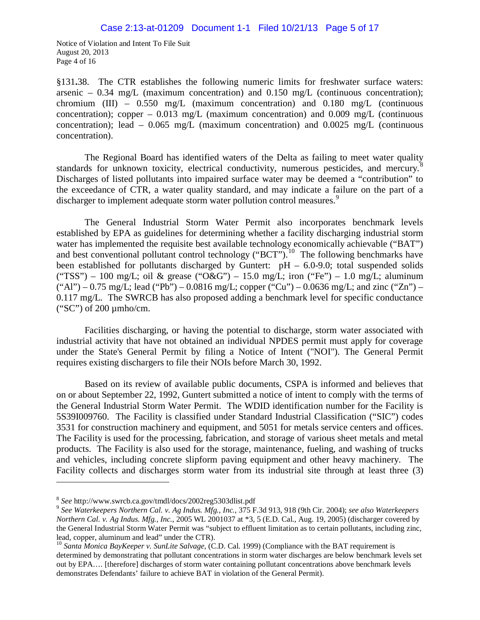Notice of Violation and Intent To File Suit August 20, 2013 Page 4 of 16

§131**.**38. The CTR establishes the following numeric limits for freshwater surface waters: arsenic – 0.34 mg/L (maximum concentration) and 0.150 mg/L (continuous concentration); chromium (III) –  $0.550$  mg/L (maximum concentration) and  $0.180$  mg/L (continuous concentration); copper – 0.013 mg/L (maximum concentration) and 0.009 mg/L (continuous concentration); lead  $-0.065$  mg/L (maximum concentration) and  $0.0025$  mg/L (continuous concentration).

The Regional Board has identified waters of the Delta as failing to meet water quality standards for unknown toxicity, electrical conductivity, numerous pesticides, and mercury.<sup>[8](#page-22-0)</sup> Discharges of listed pollutants into impaired surface water may be deemed a "contribution" to the exceedance of CTR, a water quality standard, and may indicate a failure on the part of a discharger to implement adequate storm water pollution control measures.<sup>[9](#page-22-1)</sup>

The General Industrial Storm Water Permit also incorporates benchmark levels established by EPA as guidelines for determining whether a facility discharging industrial storm water has implemented the requisite best available technology economically achievable ("BAT") and best conventional pollutant control technology ("BCT").<sup>[10](#page-22-2)</sup> The following benchmarks have been established for pollutants discharged by Guntert:  $pH - 6.0-9.0$ ; total suspended solids ("TSS") – 100 mg/L; oil & grease ("O&G") – 15.0 mg/L; iron ("Fe") – 1.0 mg/L; aluminum  $("Al") - 0.75$  mg/L; lead  $("Pb") - 0.0816$  mg/L; copper  $("Cu") - 0.0636$  mg/L; and zinc  $("Zn") -$ 0.117 mg/L. The SWRCB has also proposed adding a benchmark level for specific conductance ("SC") of 200 µmho/cm.

Facilities discharging, or having the potential to discharge, storm water associated with industrial activity that have not obtained an individual NPDES permit must apply for coverage under the State's General Permit by filing a Notice of Intent ("NOI"). The General Permit requires existing dischargers to file their NOIs before March 30, 1992.

Based on its review of available public documents, CSPA is informed and believes that on or about September 22, 1992, Guntert submitted a notice of intent to comply with the terms of the General Industrial Storm Water Permit. The WDID identification number for the Facility is 5S39I009760. The Facility is classified under Standard Industrial Classification ("SIC") codes 3531 for construction machinery and equipment, and 5051 for metals service centers and offices. The Facility is used for the processing, fabrication, and storage of various sheet metals and metal products. The Facility is also used for the storage, maintenance, fueling, and washing of trucks and vehicles, including concrete slipform paving equipment and other heavy machinery. The Facility collects and discharges storm water from its industrial site through at least three (3)

<span id="page-22-0"></span><sup>8</sup> *See* http://www.swrcb.ca.gov/tmdl/docs/2002reg5303dlist.pdf

<span id="page-22-1"></span><sup>9</sup> *See Waterkeepers Northern Cal. v. Ag Indus. Mfg., Inc.*, 375 F.3d 913, 918 (9th Cir. 2004); *see also Waterkeepers Northern Cal. v. Ag Indus. Mfg., Inc.*, 2005 WL 2001037 at \*3, 5 (E.D. Cal., Aug. 19, 2005) (discharger covered by the General Industrial Storm Water Permit was "subject to effluent limitation as to certain pollutants, including zinc, lead, copper, aluminum and lead" under the CTR).

<span id="page-22-2"></span><sup>10</sup> *Santa Monica BayKeeper v. SunLite Salvage*, (C.D. Cal. 1999) (Compliance with the BAT requirement is determined by demonstrating that pollutant concentrations in storm water discharges are below benchmark levels set out by EPA…. [therefore] discharges of storm water containing pollutant concentrations above benchmark levels demonstrates Defendants' failure to achieve BAT in violation of the General Permit).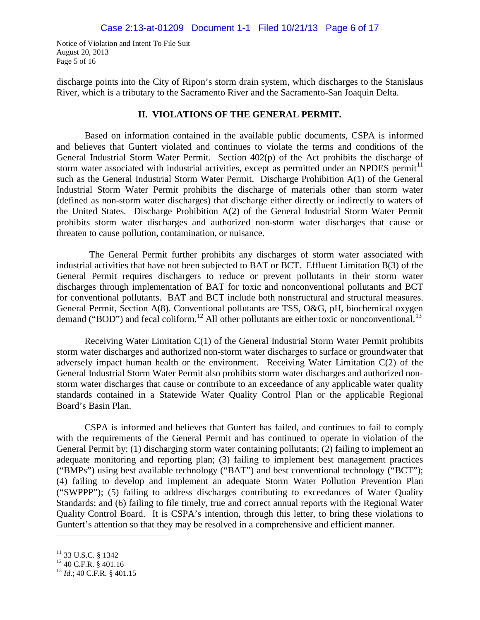Notice of Violation and Intent To File Suit August 20, 2013 Page 5 of 16

discharge points into the City of Ripon's storm drain system, which discharges to the Stanislaus River, which is a tributary to the Sacramento River and the Sacramento-San Joaquin Delta.

#### **II. VIOLATIONS OF THE GENERAL PERMIT.**

Based on information contained in the available public documents, CSPA is informed and believes that Guntert violated and continues to violate the terms and conditions of the General Industrial Storm Water Permit. Section 402(p) of the Act prohibits the discharge of storm water associated with industrial activities, except as permitted under an NPDES permit<sup>[11](#page-23-0)</sup> such as the General Industrial Storm Water Permit. Discharge Prohibition A(1) of the General Industrial Storm Water Permit prohibits the discharge of materials other than storm water (defined as non-storm water discharges) that discharge either directly or indirectly to waters of the United States. Discharge Prohibition A(2) of the General Industrial Storm Water Permit prohibits storm water discharges and authorized non-storm water discharges that cause or threaten to cause pollution, contamination, or nuisance.

 The General Permit further prohibits any discharges of storm water associated with industrial activities that have not been subjected to BAT or BCT. Effluent Limitation B(3) of the General Permit requires dischargers to reduce or prevent pollutants in their storm water discharges through implementation of BAT for toxic and nonconventional pollutants and BCT for conventional pollutants. BAT and BCT include both nonstructural and structural measures. General Permit, Section A(8). Conventional pollutants are TSS, O&G, pH, biochemical oxygen demand ("BOD") and fecal coliform.<sup>[12](#page-23-1)</sup> All other pollutants are either toxic or nonconventional.<sup>[13](#page-23-2)</sup>

Receiving Water Limitation C(1) of the General Industrial Storm Water Permit prohibits storm water discharges and authorized non-storm water discharges to surface or groundwater that adversely impact human health or the environment. Receiving Water Limitation C(2) of the General Industrial Storm Water Permit also prohibits storm water discharges and authorized nonstorm water discharges that cause or contribute to an exceedance of any applicable water quality standards contained in a Statewide Water Quality Control Plan or the applicable Regional Board's Basin Plan.

CSPA is informed and believes that Guntert has failed, and continues to fail to comply with the requirements of the General Permit and has continued to operate in violation of the General Permit by: (1) discharging storm water containing pollutants; (2) failing to implement an adequate monitoring and reporting plan; (3) failing to implement best management practices ("BMPs") using best available technology ("BAT") and best conventional technology ("BCT"); (4) failing to develop and implement an adequate Storm Water Pollution Prevention Plan ("SWPPP"); (5) failing to address discharges contributing to exceedances of Water Quality Standards; and (6) failing to file timely, true and correct annual reports with the Regional Water Quality Control Board. It is CSPA's intention, through this letter, to bring these violations to Guntert's attention so that they may be resolved in a comprehensive and efficient manner.

<span id="page-23-0"></span> $^{11}_{12}$  33 U.S.C. § 1342<br> $^{12}$  40 C.F.R. § 401.16

<span id="page-23-2"></span><span id="page-23-1"></span><sup>13</sup> *Id*.; 40 C.F.R. § 401.15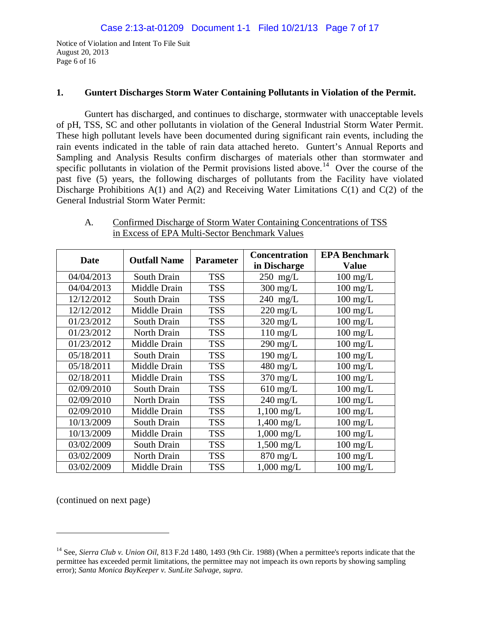Notice of Violation and Intent To File Suit August 20, 2013 Page 6 of 16

#### **1. Guntert Discharges Storm Water Containing Pollutants in Violation of the Permit.**

Guntert has discharged, and continues to discharge, stormwater with unacceptable levels of pH, TSS, SC and other pollutants in violation of the General Industrial Storm Water Permit. These high pollutant levels have been documented during significant rain events, including the rain events indicated in the table of rain data attached hereto. Guntert's Annual Reports and Sampling and Analysis Results confirm discharges of materials other than stormwater and specific pollutants in violation of the Permit provisions listed above.<sup>14</sup> Over the course of the past five (5) years, the following discharges of pollutants from the Facility have violated Discharge Prohibitions  $A(1)$  and  $A(2)$  and Receiving Water Limitations  $C(1)$  and  $C(2)$  of the General Industrial Storm Water Permit:

| <b>Date</b> | <b>Outfall Name</b> | <b>Parameter</b> | <b>Concentration</b><br>in Discharge | <b>EPA Benchmark</b><br><b>Value</b> |
|-------------|---------------------|------------------|--------------------------------------|--------------------------------------|
| 04/04/2013  | South Drain         | <b>TSS</b>       | $250$ mg/L                           | $100 \text{ mg/L}$                   |
| 04/04/2013  | Middle Drain        | <b>TSS</b>       | $300$ mg/L                           | $100 \text{ mg/L}$                   |
| 12/12/2012  | South Drain         | <b>TSS</b>       | $240$ mg/L                           | $100 \text{ mg/L}$                   |
| 12/12/2012  | Middle Drain        | <b>TSS</b>       | $220 \text{ mg/L}$                   | $100 \text{ mg/L}$                   |
| 01/23/2012  | South Drain         | <b>TSS</b>       | $320$ mg/L                           | $100 \text{ mg/L}$                   |
| 01/23/2012  | North Drain         | <b>TSS</b>       | $110$ mg/L                           | $100 \text{ mg/L}$                   |
| 01/23/2012  | Middle Drain        | <b>TSS</b>       | $290 \text{ mg/L}$                   | $100$ mg/L                           |
| 05/18/2011  | South Drain         | <b>TSS</b>       | $190$ mg/L                           | $100 \text{ mg/L}$                   |
| 05/18/2011  | Middle Drain        | <b>TSS</b>       | $480$ mg/L                           | $100 \text{ mg/L}$                   |
| 02/18/2011  | Middle Drain        | <b>TSS</b>       | $370 \text{ mg/L}$                   | $100 \text{ mg/L}$                   |
| 02/09/2010  | South Drain         | <b>TSS</b>       | $610$ mg/L                           | $100$ mg/L                           |
| 02/09/2010  | North Drain         | <b>TSS</b>       | $240$ mg/L                           | $100 \text{ mg/L}$                   |
| 02/09/2010  | Middle Drain        | <b>TSS</b>       | $1,100 \text{ mg/L}$                 | $100$ mg/L                           |
| 10/13/2009  | South Drain         | <b>TSS</b>       | $1,400$ mg/L                         | $100$ mg/L                           |
| 10/13/2009  | Middle Drain        | <b>TSS</b>       | $1,000$ mg/L                         | $100 \text{ mg/L}$                   |
| 03/02/2009  | South Drain         | <b>TSS</b>       | $1,500$ mg/L                         | $100$ mg/L                           |
| 03/02/2009  | North Drain         | <b>TSS</b>       | $870 \text{ mg/L}$                   | $100 \text{ mg/L}$                   |
| 03/02/2009  | Middle Drain        | <b>TSS</b>       | $1,000 \text{ mg/L}$                 | $100 \text{ mg/L}$                   |

A. Confirmed Discharge of Storm Water Containing Concentrations of TSS in Excess of EPA Multi-Sector Benchmark Values

(continued on next page)

<span id="page-24-0"></span><sup>14</sup> See, *Sierra Club v. Union Oil*, 813 F.2d 1480, 1493 (9th Cir. 1988) (When a permittee's reports indicate that the permittee has exceeded permit limitations, the permittee may not impeach its own reports by showing sampling error); *Santa Monica BayKeeper v. SunLite Salvage, supra*.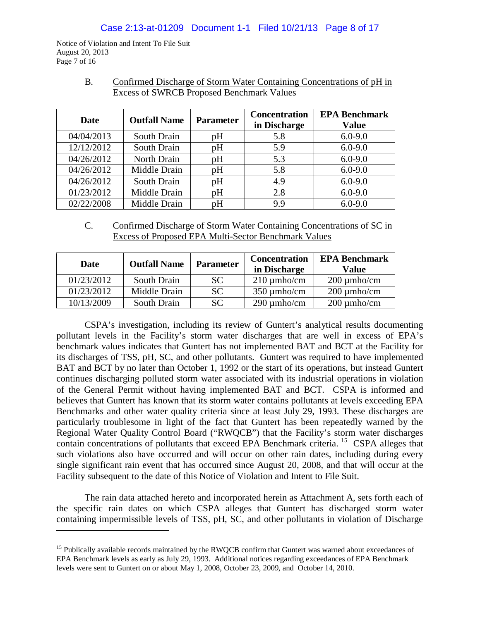Notice of Violation and Intent To File Suit August 20, 2013 Page 7 of 16

 $\overline{a}$ 

| Date       | <b>Outfall Name</b> | <b>Parameter</b> | <b>Concentration</b><br>in Discharge | <b>EPA Benchmark</b><br><b>Value</b> |
|------------|---------------------|------------------|--------------------------------------|--------------------------------------|
| 04/04/2013 | South Drain         | pH               | 5.8                                  | $6.0 - 9.0$                          |
| 12/12/2012 | South Drain         | pH               | 5.9                                  | $6.0 - 9.0$                          |
| 04/26/2012 | North Drain         | pH               | 5.3                                  | $6.0 - 9.0$                          |
| 04/26/2012 | Middle Drain        | pH               | 5.8                                  | $6.0 - 9.0$                          |
| 04/26/2012 | South Drain         | pH               | 4.9                                  | $6.0 - 9.0$                          |
| 01/23/2012 | Middle Drain        | pH               | 2.8                                  | $6.0 - 9.0$                          |
| 02/22/2008 | Middle Drain        | pH               | 9.9                                  | $6.0 - 9.0$                          |

B. Confirmed Discharge of Storm Water Containing Concentrations of pH in Excess of SWRCB Proposed Benchmark Values

C. Confirmed Discharge of Storm Water Containing Concentrations of SC in Excess of Proposed EPA Multi-Sector Benchmark Values

| Date       | <b>Outfall Name</b> | <b>Parameter</b> | <b>Concentration</b><br>in Discharge | <b>EPA Benchmark</b><br>Value |
|------------|---------------------|------------------|--------------------------------------|-------------------------------|
| 01/23/2012 | South Drain         | <b>SC</b>        | $210 \mu$ mho/cm                     | $200 \mu m$ ho/cm             |
| 01/23/2012 | Middle Drain        | SC.              | $350 \mu$ mho/cm                     | $200 \mu m$ ho/cm             |
| 10/13/2009 | South Drain         | SС               | $290 \mu$ mho/cm                     | $200 \mu m$ ho/cm             |

CSPA's investigation, including its review of Guntert's analytical results documenting pollutant levels in the Facility's storm water discharges that are well in excess of EPA's benchmark values indicates that Guntert has not implemented BAT and BCT at the Facility for its discharges of TSS, pH, SC, and other pollutants. Guntert was required to have implemented BAT and BCT by no later than October 1, 1992 or the start of its operations, but instead Guntert continues discharging polluted storm water associated with its industrial operations in violation of the General Permit without having implemented BAT and BCT. CSPA is informed and believes that Guntert has known that its storm water contains pollutants at levels exceeding EPA Benchmarks and other water quality criteria since at least July 29, 1993. These discharges are particularly troublesome in light of the fact that Guntert has been repeatedly warned by the Regional Water Quality Control Board ("RWQCB") that the Facility's storm water discharges contain concentrations of pollutants that exceed EPA Benchmark criteria.<sup>[15](#page-25-0)</sup> CSPA alleges that such violations also have occurred and will occur on other rain dates, including during every single significant rain event that has occurred since August 20, 2008, and that will occur at the Facility subsequent to the date of this Notice of Violation and Intent to File Suit.

The rain data attached hereto and incorporated herein as Attachment A, sets forth each of the specific rain dates on which CSPA alleges that Guntert has discharged storm water containing impermissible levels of TSS, pH, SC, and other pollutants in violation of Discharge

<span id="page-25-0"></span><sup>&</sup>lt;sup>15</sup> Publically available records maintained by the RWQCB confirm that Guntert was warned about exceedances of EPA Benchmark levels as early as July 29, 1993. Additional notices regarding exceedances of EPA Benchmark levels were sent to Guntert on or about May 1, 2008, October 23, 2009, and October 14, 2010.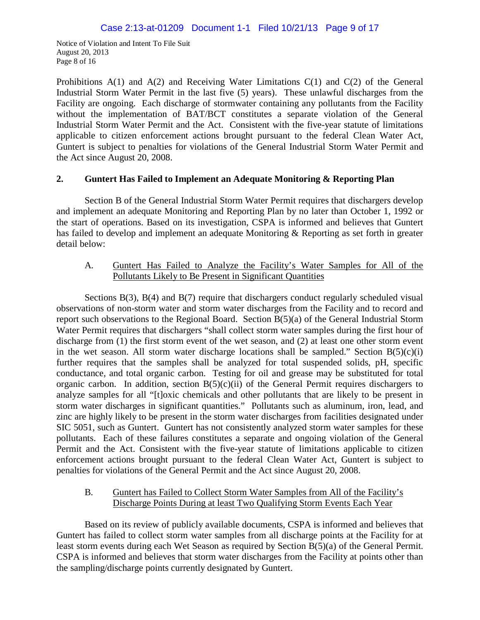Notice of Violation and Intent To File Suit August 20, 2013 Page 8 of 16

Prohibitions  $A(1)$  and  $A(2)$  and Receiving Water Limitations  $C(1)$  and  $C(2)$  of the General Industrial Storm Water Permit in the last five (5) years). These unlawful discharges from the Facility are ongoing. Each discharge of stormwater containing any pollutants from the Facility without the implementation of BAT/BCT constitutes a separate violation of the General Industrial Storm Water Permit and the Act. Consistent with the five-year statute of limitations applicable to citizen enforcement actions brought pursuant to the federal Clean Water Act, Guntert is subject to penalties for violations of the General Industrial Storm Water Permit and the Act since August 20, 2008.

# **2. Guntert Has Failed to Implement an Adequate Monitoring & Reporting Plan**

Section B of the General Industrial Storm Water Permit requires that dischargers develop and implement an adequate Monitoring and Reporting Plan by no later than October 1, 1992 or the start of operations. Based on its investigation, CSPA is informed and believes that Guntert has failed to develop and implement an adequate Monitoring & Reporting as set forth in greater detail below:

# A. Guntert Has Failed to Analyze the Facility's Water Samples for All of the Pollutants Likely to Be Present in Significant Quantities

Sections  $B(3)$ ,  $B(4)$  and  $B(7)$  require that dischargers conduct regularly scheduled visual observations of non-storm water and storm water discharges from the Facility and to record and report such observations to the Regional Board. Section B(5)(a) of the General Industrial Storm Water Permit requires that dischargers "shall collect storm water samples during the first hour of discharge from (1) the first storm event of the wet season, and (2) at least one other storm event in the wet season. All storm water discharge locations shall be sampled." Section  $B(5)(c)(i)$ further requires that the samples shall be analyzed for total suspended solids, pH, specific conductance, and total organic carbon. Testing for oil and grease may be substituted for total organic carbon. In addition, section  $B(5)(c)(ii)$  of the General Permit requires dischargers to analyze samples for all "[t]oxic chemicals and other pollutants that are likely to be present in storm water discharges in significant quantities." Pollutants such as aluminum, iron, lead, and zinc are highly likely to be present in the storm water discharges from facilities designated under SIC 5051, such as Guntert. Guntert has not consistently analyzed storm water samples for these pollutants. Each of these failures constitutes a separate and ongoing violation of the General Permit and the Act. Consistent with the five-year statute of limitations applicable to citizen enforcement actions brought pursuant to the federal Clean Water Act, Guntert is subject to penalties for violations of the General Permit and the Act since August 20, 2008.

# B. Guntert has Failed to Collect Storm Water Samples from All of the Facility's Discharge Points During at least Two Qualifying Storm Events Each Year

Based on its review of publicly available documents, CSPA is informed and believes that Guntert has failed to collect storm water samples from all discharge points at the Facility for at least storm events during each Wet Season as required by Section B(5)(a) of the General Permit. CSPA is informed and believes that storm water discharges from the Facility at points other than the sampling/discharge points currently designated by Guntert.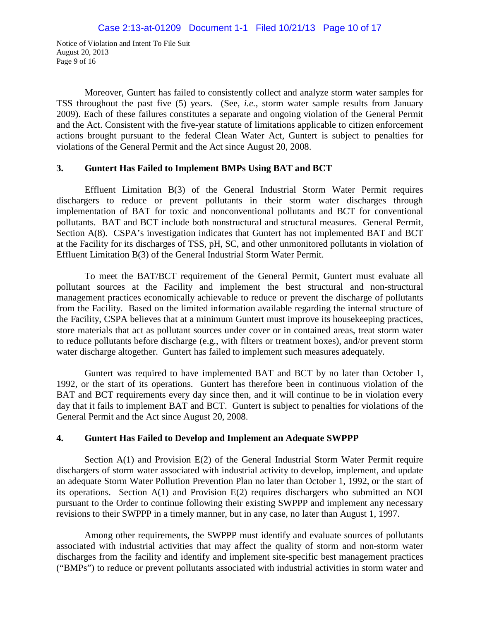Notice of Violation and Intent To File Suit August 20, 2013 Page 9 of 16

Moreover, Guntert has failed to consistently collect and analyze storm water samples for TSS throughout the past five (5) years. (See, *i.e.*, storm water sample results from January 2009). Each of these failures constitutes a separate and ongoing violation of the General Permit and the Act. Consistent with the five-year statute of limitations applicable to citizen enforcement actions brought pursuant to the federal Clean Water Act, Guntert is subject to penalties for violations of the General Permit and the Act since August 20, 2008.

# **3. Guntert Has Failed to Implement BMPs Using BAT and BCT**

Effluent Limitation B(3) of the General Industrial Storm Water Permit requires dischargers to reduce or prevent pollutants in their storm water discharges through implementation of BAT for toxic and nonconventional pollutants and BCT for conventional pollutants. BAT and BCT include both nonstructural and structural measures. General Permit, Section A(8). CSPA's investigation indicates that Guntert has not implemented BAT and BCT at the Facility for its discharges of TSS, pH, SC, and other unmonitored pollutants in violation of Effluent Limitation B(3) of the General Industrial Storm Water Permit.

To meet the BAT/BCT requirement of the General Permit, Guntert must evaluate all pollutant sources at the Facility and implement the best structural and non-structural management practices economically achievable to reduce or prevent the discharge of pollutants from the Facility. Based on the limited information available regarding the internal structure of the Facility, CSPA believes that at a minimum Guntert must improve its housekeeping practices, store materials that act as pollutant sources under cover or in contained areas, treat storm water to reduce pollutants before discharge (e.g., with filters or treatment boxes), and/or prevent storm water discharge altogether. Guntert has failed to implement such measures adequately.

Guntert was required to have implemented BAT and BCT by no later than October 1, 1992, or the start of its operations. Guntert has therefore been in continuous violation of the BAT and BCT requirements every day since then, and it will continue to be in violation every day that it fails to implement BAT and BCT. Guntert is subject to penalties for violations of the General Permit and the Act since August 20, 2008.

# **4. Guntert Has Failed to Develop and Implement an Adequate SWPPP**

Section A(1) and Provision E(2) of the General Industrial Storm Water Permit require dischargers of storm water associated with industrial activity to develop, implement, and update an adequate Storm Water Pollution Prevention Plan no later than October 1, 1992, or the start of its operations. Section A(1) and Provision E(2) requires dischargers who submitted an NOI pursuant to the Order to continue following their existing SWPPP and implement any necessary revisions to their SWPPP in a timely manner, but in any case, no later than August 1, 1997.

Among other requirements, the SWPPP must identify and evaluate sources of pollutants associated with industrial activities that may affect the quality of storm and non-storm water discharges from the facility and identify and implement site-specific best management practices ("BMPs") to reduce or prevent pollutants associated with industrial activities in storm water and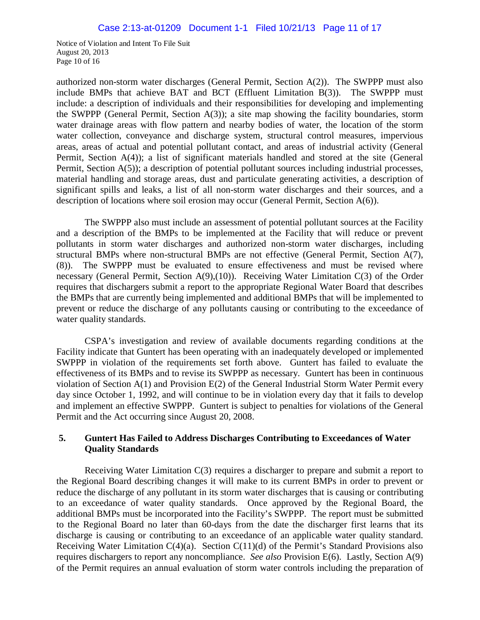Notice of Violation and Intent To File Suit August 20, 2013 Page 10 of 16

authorized non-storm water discharges (General Permit, Section A(2)). The SWPPP must also include BMPs that achieve BAT and BCT (Effluent Limitation B(3)). The SWPPP must include: a description of individuals and their responsibilities for developing and implementing the SWPPP (General Permit, Section A(3)); a site map showing the facility boundaries, storm water drainage areas with flow pattern and nearby bodies of water, the location of the storm water collection, conveyance and discharge system, structural control measures, impervious areas, areas of actual and potential pollutant contact, and areas of industrial activity (General Permit, Section A(4)); a list of significant materials handled and stored at the site (General Permit, Section A(5)); a description of potential pollutant sources including industrial processes, material handling and storage areas, dust and particulate generating activities, a description of significant spills and leaks, a list of all non-storm water discharges and their sources, and a description of locations where soil erosion may occur (General Permit, Section A(6)).

The SWPPP also must include an assessment of potential pollutant sources at the Facility and a description of the BMPs to be implemented at the Facility that will reduce or prevent pollutants in storm water discharges and authorized non-storm water discharges, including structural BMPs where non-structural BMPs are not effective (General Permit, Section A(7), (8)). The SWPPP must be evaluated to ensure effectiveness and must be revised where necessary (General Permit, Section A(9),(10)). Receiving Water Limitation C(3) of the Order requires that dischargers submit a report to the appropriate Regional Water Board that describes the BMPs that are currently being implemented and additional BMPs that will be implemented to prevent or reduce the discharge of any pollutants causing or contributing to the exceedance of water quality standards.

CSPA's investigation and review of available documents regarding conditions at the Facility indicate that Guntert has been operating with an inadequately developed or implemented SWPPP in violation of the requirements set forth above. Guntert has failed to evaluate the effectiveness of its BMPs and to revise its SWPPP as necessary. Guntert has been in continuous violation of Section A(1) and Provision E(2) of the General Industrial Storm Water Permit every day since October 1, 1992, and will continue to be in violation every day that it fails to develop and implement an effective SWPPP. Guntert is subject to penalties for violations of the General Permit and the Act occurring since August 20, 2008.

# **5. Guntert Has Failed to Address Discharges Contributing to Exceedances of Water Quality Standards**

Receiving Water Limitation C(3) requires a discharger to prepare and submit a report to the Regional Board describing changes it will make to its current BMPs in order to prevent or reduce the discharge of any pollutant in its storm water discharges that is causing or contributing to an exceedance of water quality standards. Once approved by the Regional Board, the additional BMPs must be incorporated into the Facility's SWPPP. The report must be submitted to the Regional Board no later than 60-days from the date the discharger first learns that its discharge is causing or contributing to an exceedance of an applicable water quality standard. Receiving Water Limitation  $C(4)(a)$ . Section  $C(11)(d)$  of the Permit's Standard Provisions also requires dischargers to report any noncompliance. *See also* Provision E(6). Lastly, Section A(9) of the Permit requires an annual evaluation of storm water controls including the preparation of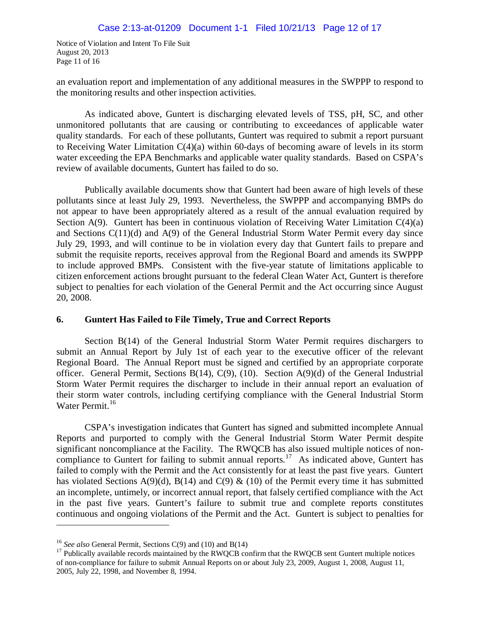Notice of Violation and Intent To File Suit August 20, 2013 Page 11 of 16

an evaluation report and implementation of any additional measures in the SWPPP to respond to the monitoring results and other inspection activities.

As indicated above, Guntert is discharging elevated levels of TSS, pH, SC, and other unmonitored pollutants that are causing or contributing to exceedances of applicable water quality standards. For each of these pollutants, Guntert was required to submit a report pursuant to Receiving Water Limitation C(4)(a) within 60-days of becoming aware of levels in its storm water exceeding the EPA Benchmarks and applicable water quality standards. Based on CSPA's review of available documents, Guntert has failed to do so.

Publically available documents show that Guntert had been aware of high levels of these pollutants since at least July 29, 1993. Nevertheless, the SWPPP and accompanying BMPs do not appear to have been appropriately altered as a result of the annual evaluation required by Section  $A(9)$ . Guntert has been in continuous violation of Receiving Water Limitation  $C(4)(a)$ and Sections C(11)(d) and A(9) of the General Industrial Storm Water Permit every day since July 29, 1993, and will continue to be in violation every day that Guntert fails to prepare and submit the requisite reports, receives approval from the Regional Board and amends its SWPPP to include approved BMPs. Consistent with the five-year statute of limitations applicable to citizen enforcement actions brought pursuant to the federal Clean Water Act, Guntert is therefore subject to penalties for each violation of the General Permit and the Act occurring since August 20, 2008.

# **6. Guntert Has Failed to File Timely, True and Correct Reports**

Section B(14) of the General Industrial Storm Water Permit requires dischargers to submit an Annual Report by July 1st of each year to the executive officer of the relevant Regional Board. The Annual Report must be signed and certified by an appropriate corporate officer. General Permit, Sections B(14), C(9), (10). Section  $A(9)(d)$  of the General Industrial Storm Water Permit requires the discharger to include in their annual report an evaluation of their storm water controls, including certifying compliance with the General Industrial Storm Water Permit.<sup>[16](#page-29-0)</sup>

CSPA's investigation indicates that Guntert has signed and submitted incomplete Annual Reports and purported to comply with the General Industrial Storm Water Permit despite significant noncompliance at the Facility. The RWQCB has also issued multiple notices of non-compliance to Guntert for failing to submit annual reports.<sup>[17](#page-29-1)</sup> As indicated above, Guntert has failed to comply with the Permit and the Act consistently for at least the past five years. Guntert has violated Sections A(9)(d), B(14) and C(9) & (10) of the Permit every time it has submitted an incomplete, untimely, or incorrect annual report, that falsely certified compliance with the Act in the past five years. Guntert's failure to submit true and complete reports constitutes continuous and ongoing violations of the Permit and the Act. Guntert is subject to penalties for

<span id="page-29-0"></span><sup>16</sup> *See also* General Permit, Sections C(9) and (10) and B(14)

<span id="page-29-1"></span> $17$  Publically available records maintained by the RWQCB confirm that the RWQCB sent Guntert multiple notices of non-compliance for failure to submit Annual Reports on or about July 23, 2009, August 1, 2008, August 11, 2005, July 22, 1998, and November 8, 1994.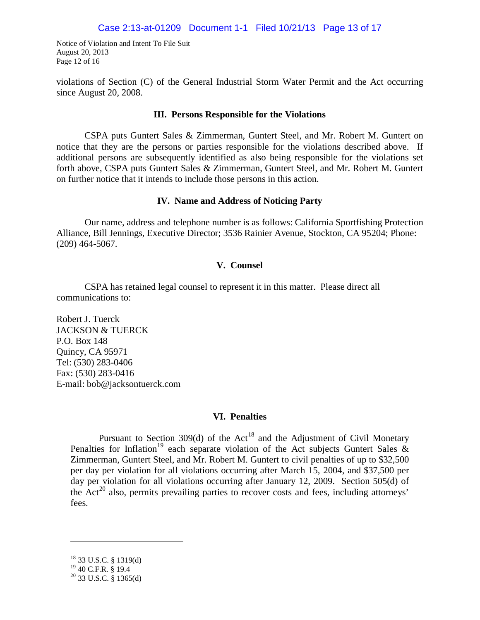Notice of Violation and Intent To File Suit August 20, 2013 Page 12 of 16

violations of Section (C) of the General Industrial Storm Water Permit and the Act occurring since August 20, 2008.

#### **III. Persons Responsible for the Violations**

CSPA puts Guntert Sales & Zimmerman, Guntert Steel, and Mr. Robert M. Guntert on notice that they are the persons or parties responsible for the violations described above. If additional persons are subsequently identified as also being responsible for the violations set forth above, CSPA puts Guntert Sales & Zimmerman, Guntert Steel, and Mr. Robert M. Guntert on further notice that it intends to include those persons in this action.

#### **IV. Name and Address of Noticing Party**

Our name, address and telephone number is as follows: California Sportfishing Protection Alliance, Bill Jennings, Executive Director; 3536 Rainier Avenue, Stockton, CA 95204; Phone: (209) 464-5067.

#### **V. Counsel**

CSPA has retained legal counsel to represent it in this matter. Please direct all communications to:

Robert J. Tuerck JACKSON & TUERCK P.O. Box 148 Quincy, CA 95971 Tel: (530) 283-0406 Fax: (530) 283-0416 E-mail: bob@jacksontuerck.com

### **VI. Penalties**

Pursuant to Section 309(d) of the  $Act^{18}$  $Act^{18}$  $Act^{18}$  and the Adjustment of Civil Monetary Penalties for Inflation<sup>[19](#page-30-1)</sup> each separate violation of the Act subjects Guntert Sales  $\&$ Zimmerman, Guntert Steel, and Mr. Robert M. Guntert to civil penalties of up to \$32,500 per day per violation for all violations occurring after March 15, 2004, and \$37,500 per day per violation for all violations occurring after January 12, 2009. Section 505(d) of the  $Act^{20}$  $Act^{20}$  $Act^{20}$  also, permits prevailing parties to recover costs and fees, including attorneys' fees.

<span id="page-30-0"></span><sup>18</sup> 33 U.S.C. § 1319(d)

<span id="page-30-1"></span><sup>19</sup> 40 C.F.R. § 19.4

<span id="page-30-2"></span> $^{20}$  33 U.S.C. § 1365(d)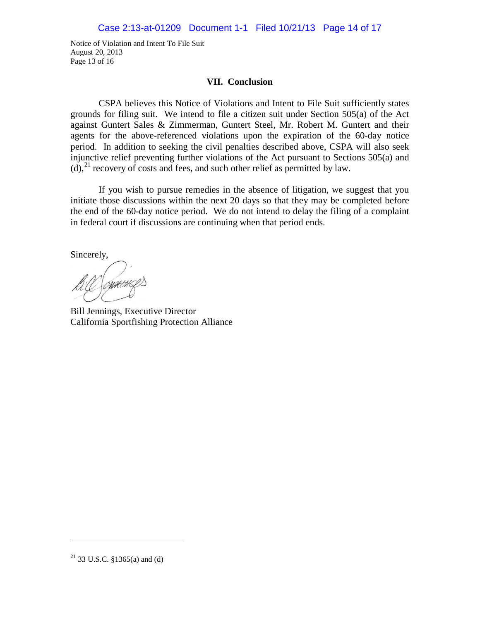Notice of Violation and Intent To File Suit August 20, 2013 Page 13 of 16

#### **VII. Conclusion**

CSPA believes this Notice of Violations and Intent to File Suit sufficiently states grounds for filing suit. We intend to file a citizen suit under Section 505(a) of the Act against Guntert Sales & Zimmerman, Guntert Steel, Mr. Robert M. Guntert and their agents for the above-referenced violations upon the expiration of the 60-day notice period. In addition to seeking the civil penalties described above, CSPA will also seek injunctive relief preventing further violations of the Act pursuant to Sections 505(a) and  $(d)$ ,<sup>[21](#page-31-0)</sup> recovery of costs and fees, and such other relief as permitted by law.

If you wish to pursue remedies in the absence of litigation, we suggest that you initiate those discussions within the next 20 days so that they may be completed before the end of the 60-day notice period. We do not intend to delay the filing of a complaint in federal court if discussions are continuing when that period ends.

Sincerely,

Bill Jennings, Executive Director California Sportfishing Protection Alliance

<span id="page-31-0"></span> $21$  33 U.S.C. §1365(a) and (d)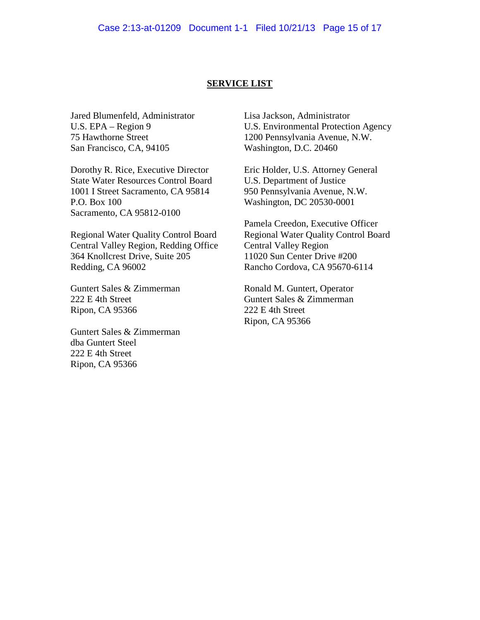#### **SERVICE LIST**

Jared Blumenfeld, Administrator U.S. EPA – Region 9 75 Hawthorne Street San Francisco, CA, 94105

Dorothy R. Rice, Executive Director State Water Resources Control Board 1001 I Street Sacramento, CA 95814 P.O. Box 100 Sacramento, CA 95812-0100

Regional Water Quality Control Board Central Valley Region, Redding Office 364 Knollcrest Drive, Suite 205 Redding, CA 96002

Guntert Sales & Zimmerman 222 E 4th Street Ripon, CA 95366

Guntert Sales & Zimmerman dba Guntert Steel 222 E 4th Street Ripon, CA 95366

Lisa Jackson, Administrator U.S. Environmental Protection Agency 1200 Pennsylvania Avenue, N.W. Washington, D.C. 20460

Eric Holder, U.S. Attorney General U.S. Department of Justice 950 Pennsylvania Avenue, N.W. Washington, DC 20530-0001

Pamela Creedon, Executive Officer Regional Water Quality Control Board Central Valley Region 11020 Sun Center Drive #200 Rancho Cordova, CA 95670-6114

Ronald M. Guntert, Operator Guntert Sales & Zimmerman 222 E 4th Street Ripon, CA 95366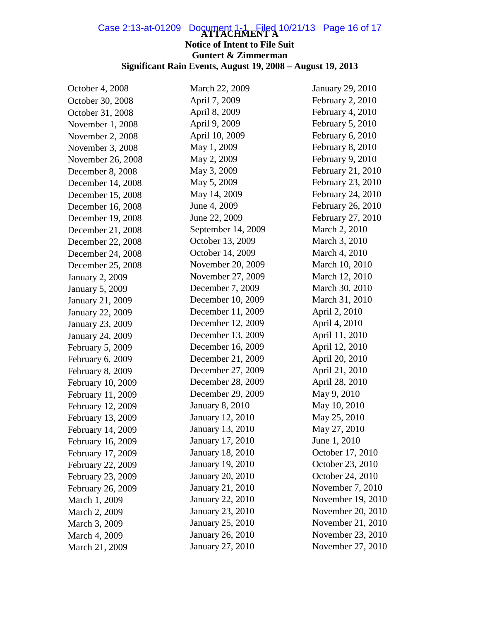# Case 2:13-at-01209 Document 1-1 Filed 10/21/13 Page 16 of 17

# **Notice of Intent to File Suit Guntert & Zimmerman Significant Rain Events, August 19, 2008 – August 19, 2013**

| October 4, 2008         | March 22, 2009          | January 29, 2010  |
|-------------------------|-------------------------|-------------------|
| October 30, 2008        | April 7, 2009           | February 2, 2010  |
| October 31, 2008        | April 8, 2009           | February 4, 2010  |
| November 1, 2008        | April 9, 2009           | February 5, 2010  |
| November 2, 2008        | April 10, 2009          | February 6, 2010  |
| November 3, 2008        | May 1, 2009             | February 8, 2010  |
| November 26, 2008       | May 2, 2009             | February 9, 2010  |
| December 8, 2008        | May 3, 2009             | February 21, 2010 |
| December 14, 2008       | May 5, 2009             | February 23, 2010 |
| December 15, 2008       | May 14, 2009            | February 24, 2010 |
| December 16, 2008       | June 4, 2009            | February 26, 2010 |
| December 19, 2008       | June 22, 2009           | February 27, 2010 |
| December 21, 2008       | September 14, 2009      | March 2, 2010     |
| December 22, 2008       | October 13, 2009        | March 3, 2010     |
| December 24, 2008       | October 14, 2009        | March 4, 2010     |
| December 25, 2008       | November 20, 2009       | March 10, 2010    |
| <b>January 2, 2009</b>  | November 27, 2009       | March 12, 2010    |
| <b>January 5, 2009</b>  | December 7, 2009        | March 30, 2010    |
| January 21, 2009        | December 10, 2009       | March 31, 2010    |
| <b>January 22, 2009</b> | December 11, 2009       | April 2, 2010     |
| January 23, 2009        | December 12, 2009       | April 4, 2010     |
| January 24, 2009        | December 13, 2009       | April 11, 2010    |
| February 5, 2009        | December 16, 2009       | April 12, 2010    |
| February 6, 2009        | December 21, 2009       | April 20, 2010    |
| February 8, 2009        | December 27, 2009       | April 21, 2010    |
| February 10, 2009       | December 28, 2009       | April 28, 2010    |
| February 11, 2009       | December 29, 2009       | May 9, 2010       |
| February 12, 2009       | <b>January 8, 2010</b>  | May 10, 2010      |
| February 13, 2009       | January 12, 2010        | May 25, 2010      |
| February 14, 2009       | <b>January 13, 2010</b> | May 27, 2010      |
| February 16, 2009       | January 17, 2010        | June 1, 2010      |
| February 17, 2009       | <b>January 18, 2010</b> | October 17, 2010  |
| February 22, 2009       | <b>January 19, 2010</b> | October 23, 2010  |
| February 23, 2009       | <b>January 20, 2010</b> | October 24, 2010  |
| February 26, 2009       | January 21, 2010        | November 7, 2010  |
| March 1, 2009           | January 22, 2010        | November 19, 2010 |
| March 2, 2009           | January 23, 2010        | November 20, 2010 |
| March 3, 2009           | <b>January 25, 2010</b> | November 21, 2010 |
| March 4, 2009           | January 26, 2010        | November 23, 2010 |
| March 21, 2009          | January 27, 2010        | November 27, 2010 |